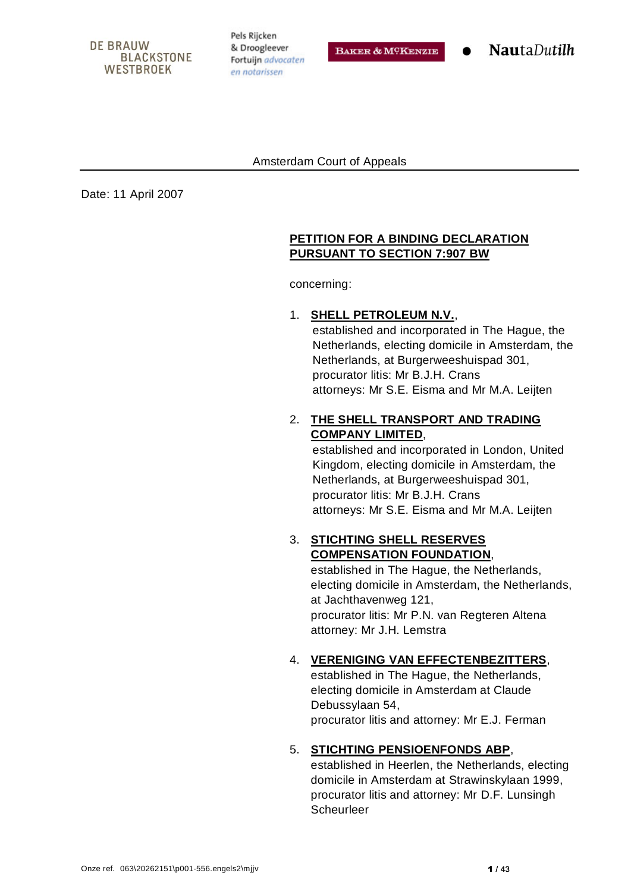#### **DE BRAUW BLACKSTONE WESTBROEK**

Pels Rijcken & Droogleever Fortuijn advocaten en notarissen

BAKER & MCKENZIE

**NautaDutilh** 

#### Amsterdam Court of Appeals

Date: 11 April 2007

#### **PETITION FOR A BINDING DECLARATION PURSUANT TO SECTION 7:907 BW**

concerning:

#### 1. **SHELL PETROLEUM N.V.**,

established and incorporated in The Hague, the Netherlands, electing domicile in Amsterdam, the Netherlands, at Burgerweeshuispad 301, procurator litis: Mr B.J.H. Crans attorneys: Mr S.E. Eisma and Mr M.A. Leijten

# 2. **THE SHELL TRANSPORT AND TRADING COMPANY LIMITED**,

established and incorporated in London, United Kingdom, electing domicile in Amsterdam, the Netherlands, at Burgerweeshuispad 301, procurator litis: Mr B.J.H. Crans attorneys: Mr S.E. Eisma and Mr M.A. Leijten

### 3. **STICHTING SHELL RESERVES COMPENSATION FOUNDATION**,

established in The Hague, the Netherlands, electing domicile in Amsterdam, the Netherlands, at Jachthavenweg 121, procurator litis: Mr P.N. van Regteren Altena attorney: Mr J.H. Lemstra

#### 4. **VERENIGING VAN EFFECTENBEZITTERS**,

established in The Hague, the Netherlands, electing domicile in Amsterdam at Claude Debussylaan 54, procurator litis and attorney: Mr E.J. Ferman

#### 5. **STICHTING PENSIOENFONDS ABP**,

established in Heerlen, the Netherlands, electing domicile in Amsterdam at Strawinskylaan 1999, procurator litis and attorney: Mr D.F. Lunsingh **Scheurleer**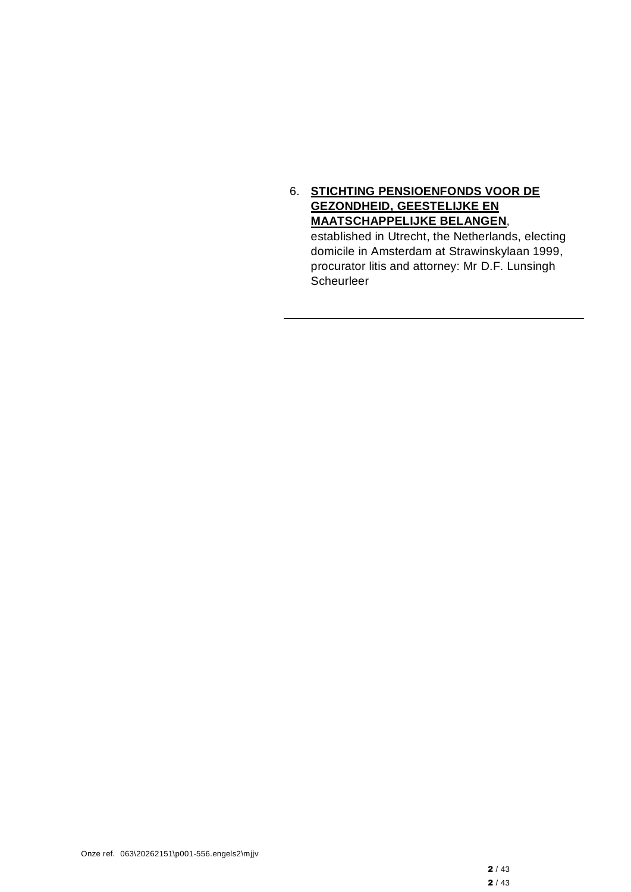### 6. **STICHTING PENSIOENFONDS VOOR DE GEZONDHEID, GEESTELIJKE EN MAATSCHAPPELIJKE BELANGEN**,

established in Utrecht, the Netherlands, electing domicile in Amsterdam at Strawinskylaan 1999, procurator litis and attorney: Mr D.F. Lunsingh Scheurleer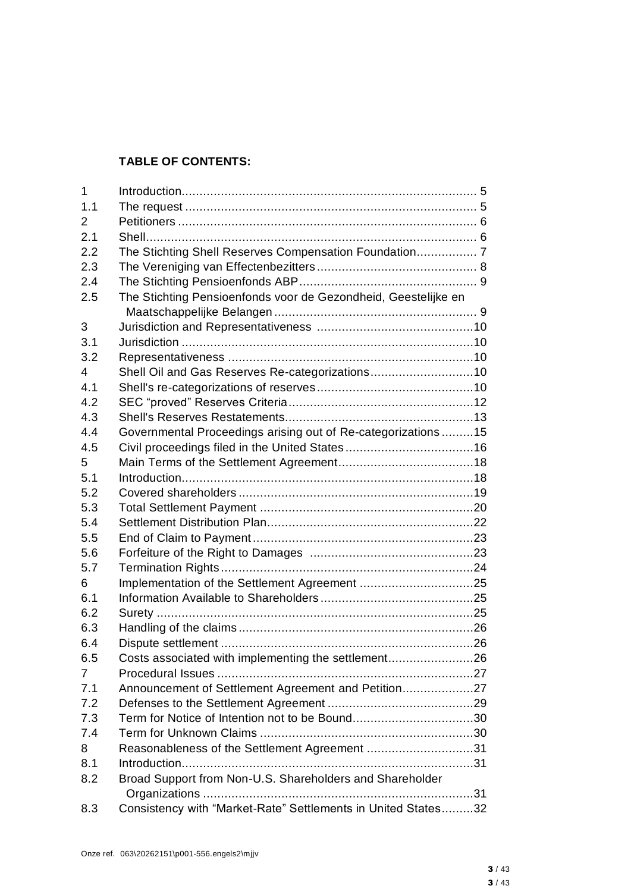# **TABLE OF CONTENTS:**

| $\mathbf 1$ |                                                                |  |
|-------------|----------------------------------------------------------------|--|
| 1.1         |                                                                |  |
| 2           |                                                                |  |
| 2.1         |                                                                |  |
| 2.2         | The Stichting Shell Reserves Compensation Foundation 7         |  |
| 2.3         |                                                                |  |
| 2.4         |                                                                |  |
| 2.5         | The Stichting Pensioenfonds voor de Gezondheid, Geestelijke en |  |
|             |                                                                |  |
| 3           |                                                                |  |
| 3.1         |                                                                |  |
| 3.2         |                                                                |  |
| 4           | Shell Oil and Gas Reserves Re-categorizations10                |  |
| 4.1         |                                                                |  |
| 4.2         |                                                                |  |
| 4.3         |                                                                |  |
| 4.4         | Governmental Proceedings arising out of Re-categorizations15   |  |
| 4.5         |                                                                |  |
| 5           |                                                                |  |
| 5.1         |                                                                |  |
| 5.2         |                                                                |  |
| 5.3         |                                                                |  |
| 5.4         |                                                                |  |
| 5.5         |                                                                |  |
| 5.6         |                                                                |  |
| 5.7         |                                                                |  |
| 6           |                                                                |  |
| 6.1         |                                                                |  |
| 6.2         |                                                                |  |
| 6.3         |                                                                |  |
| 6.4         |                                                                |  |
| 6.5         | Costs associated with implementing the settlement26            |  |
| 7           |                                                                |  |
| 7.1         | Announcement of Settlement Agreement and Petition27            |  |
| 7.2         |                                                                |  |
| 7.3         | Term for Notice of Intention not to be Bound30                 |  |
| 7.4         |                                                                |  |
| 8           | Reasonableness of the Settlement Agreement 31                  |  |
| 8.1         |                                                                |  |
| 8.2         | Broad Support from Non-U.S. Shareholders and Shareholder       |  |
|             |                                                                |  |
| 8.3         | Consistency with "Market-Rate" Settlements in United States32  |  |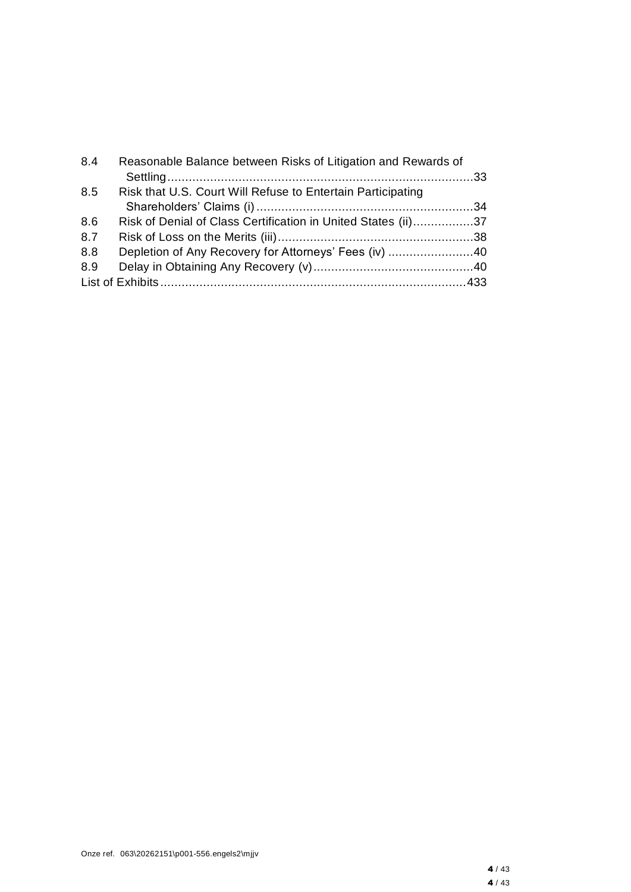| 8.4 | Reasonable Balance between Risks of Litigation and Rewards of |  |
|-----|---------------------------------------------------------------|--|
| 8.5 | Risk that U.S. Court Will Refuse to Entertain Participating   |  |
|     |                                                               |  |
| 8.6 | Risk of Denial of Class Certification in United States (ii)37 |  |
| 8.7 |                                                               |  |
| 8.8 | Depletion of Any Recovery for Attorneys' Fees (iv) 40         |  |
| 8.9 |                                                               |  |
|     |                                                               |  |
|     |                                                               |  |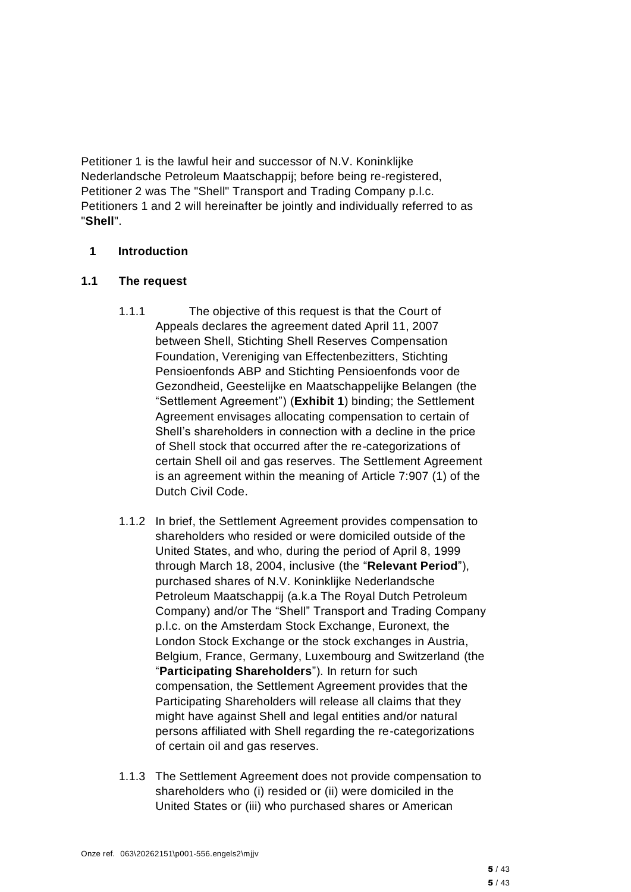Petitioner 1 is the lawful heir and successor of N.V. Koninklijke Nederlandsche Petroleum Maatschappij; before being re-registered, Petitioner 2 was The "Shell" Transport and Trading Company p.l.c. Petitioners 1 and 2 will hereinafter be jointly and individually referred to as "**Shell**".

### **1 Introduction**

### **1.1 The request**

- 1.1.1 The objective of this request is that the Court of Appeals declares the agreement dated April 11, 2007 between Shell, Stichting Shell Reserves Compensation Foundation, Vereniging van Effectenbezitters, Stichting Pensioenfonds ABP and Stichting Pensioenfonds voor de Gezondheid, Geestelijke en Maatschappelijke Belangen (the "Settlement Agreement") (**Exhibit 1**) binding; the Settlement Agreement envisages allocating compensation to certain of Shell's shareholders in connection with a decline in the price of Shell stock that occurred after the re-categorizations of certain Shell oil and gas reserves. The Settlement Agreement is an agreement within the meaning of Article 7:907 (1) of the Dutch Civil Code.
- 1.1.2 In brief, the Settlement Agreement provides compensation to shareholders who resided or were domiciled outside of the United States, and who, during the period of April 8, 1999 through March 18, 2004, inclusive (the "**Relevant Period**"), purchased shares of N.V. Koninklijke Nederlandsche Petroleum Maatschappij (a.k.a The Royal Dutch Petroleum Company) and/or The "Shell" Transport and Trading Company p.l.c. on the Amsterdam Stock Exchange, Euronext, the London Stock Exchange or the stock exchanges in Austria, Belgium, France, Germany, Luxembourg and Switzerland (the "**Participating Shareholders**"). In return for such compensation, the Settlement Agreement provides that the Participating Shareholders will release all claims that they might have against Shell and legal entities and/or natural persons affiliated with Shell regarding the re-categorizations of certain oil and gas reserves.
- 1.1.3 The Settlement Agreement does not provide compensation to shareholders who (i) resided or (ii) were domiciled in the United States or (iii) who purchased shares or American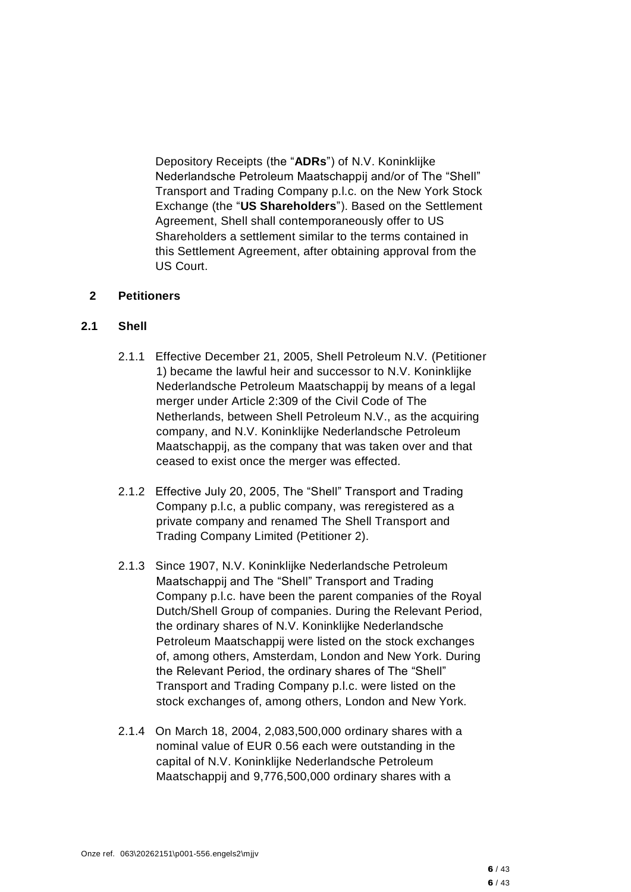Depository Receipts (the "**ADRs**") of N.V. Koninklijke Nederlandsche Petroleum Maatschappij and/or of The "Shell" Transport and Trading Company p.l.c. on the New York Stock Exchange (the "**US Shareholders**"). Based on the Settlement Agreement, Shell shall contemporaneously offer to US Shareholders a settlement similar to the terms contained in this Settlement Agreement, after obtaining approval from the US Court.

#### **2 Petitioners**

### **2.1 Shell**

- 2.1.1 Effective December 21, 2005, Shell Petroleum N.V. (Petitioner 1) became the lawful heir and successor to N.V. Koninklijke Nederlandsche Petroleum Maatschappij by means of a legal merger under Article 2:309 of the Civil Code of The Netherlands, between Shell Petroleum N.V., as the acquiring company, and N.V. Koninklijke Nederlandsche Petroleum Maatschappij, as the company that was taken over and that ceased to exist once the merger was effected.
- 2.1.2 Effective July 20, 2005, The "Shell" Transport and Trading Company p.l.c, a public company, was reregistered as a private company and renamed The Shell Transport and Trading Company Limited (Petitioner 2).
- 2.1.3 Since 1907, N.V. Koninklijke Nederlandsche Petroleum Maatschappij and The "Shell" Transport and Trading Company p.l.c. have been the parent companies of the Royal Dutch/Shell Group of companies. During the Relevant Period, the ordinary shares of N.V. Koninklijke Nederlandsche Petroleum Maatschappij were listed on the stock exchanges of, among others, Amsterdam, London and New York. During the Relevant Period, the ordinary shares of The "Shell" Transport and Trading Company p.l.c. were listed on the stock exchanges of, among others, London and New York.
- 2.1.4 On March 18, 2004, 2,083,500,000 ordinary shares with a nominal value of EUR 0.56 each were outstanding in the capital of N.V. Koninklijke Nederlandsche Petroleum Maatschappij and 9,776,500,000 ordinary shares with a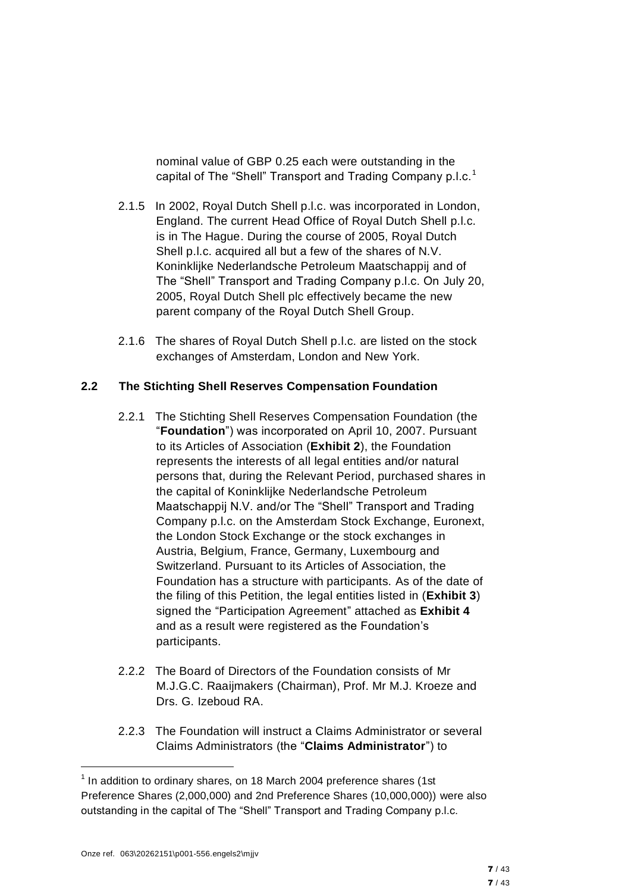nominal value of GBP 0.25 each were outstanding in the capital of The "Shell" Transport and Trading Company p.l.c.<sup>1</sup>

- 2.1.5 In 2002, Royal Dutch Shell p.l.c. was incorporated in London, England. The current Head Office of Royal Dutch Shell p.l.c. is in The Hague. During the course of 2005, Royal Dutch Shell p.l.c. acquired all but a few of the shares of N.V. Koninklijke Nederlandsche Petroleum Maatschappij and of The "Shell" Transport and Trading Company p.l.c. On July 20, 2005, Royal Dutch Shell plc effectively became the new parent company of the Royal Dutch Shell Group.
- 2.1.6 The shares of Royal Dutch Shell p.l.c. are listed on the stock exchanges of Amsterdam, London and New York.

### **2.2 The Stichting Shell Reserves Compensation Foundation**

- 2.2.1 The Stichting Shell Reserves Compensation Foundation (the "**Foundation**") was incorporated on April 10, 2007. Pursuant to its Articles of Association (**Exhibit 2**), the Foundation represents the interests of all legal entities and/or natural persons that, during the Relevant Period, purchased shares in the capital of Koninklijke Nederlandsche Petroleum Maatschappij N.V. and/or The "Shell" Transport and Trading Company p.l.c. on the Amsterdam Stock Exchange, Euronext, the London Stock Exchange or the stock exchanges in Austria, Belgium, France, Germany, Luxembourg and Switzerland. Pursuant to its Articles of Association, the Foundation has a structure with participants. As of the date of the filing of this Petition, the legal entities listed in (**Exhibit 3**) signed the "Participation Agreement" attached as **Exhibit 4** and as a result were registered as the Foundation's participants.
- 2.2.2 The Board of Directors of the Foundation consists of Mr M.J.G.C. Raaijmakers (Chairman), Prof. Mr M.J. Kroeze and Drs. G. Izeboud RA.
- 2.2.3 The Foundation will instruct a Claims Administrator or several Claims Administrators (the "**Claims Administrator**") to

 $1$  In addition to ordinary shares, on 18 March 2004 preference shares (1st Preference Shares (2,000,000) and 2nd Preference Shares (10,000,000)) were also outstanding in the capital of The "Shell" Transport and Trading Company p.l.c.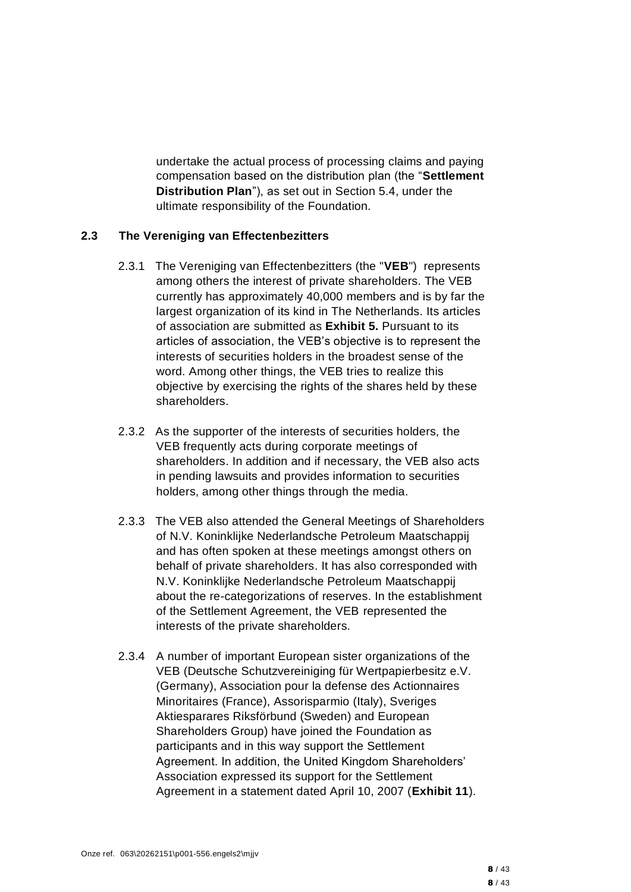undertake the actual process of processing claims and paying compensation based on the distribution plan (the "**Settlement Distribution Plan**"), as set out in Section 5.4, under the ultimate responsibility of the Foundation.

#### **2.3 The Vereniging van Effectenbezitters**

- 2.3.1 The Vereniging van Effectenbezitters (the "**VEB**") represents among others the interest of private shareholders. The VEB currently has approximately 40,000 members and is by far the largest organization of its kind in The Netherlands. Its articles of association are submitted as **Exhibit 5.** Pursuant to its articles of association, the VEB's objective is to represent the interests of securities holders in the broadest sense of the word. Among other things, the VEB tries to realize this objective by exercising the rights of the shares held by these shareholders.
- 2.3.2 As the supporter of the interests of securities holders, the VEB frequently acts during corporate meetings of shareholders. In addition and if necessary, the VEB also acts in pending lawsuits and provides information to securities holders, among other things through the media.
- 2.3.3 The VEB also attended the General Meetings of Shareholders of N.V. Koninklijke Nederlandsche Petroleum Maatschappij and has often spoken at these meetings amongst others on behalf of private shareholders. It has also corresponded with N.V. Koninklijke Nederlandsche Petroleum Maatschappij about the re-categorizations of reserves. In the establishment of the Settlement Agreement, the VEB represented the interests of the private shareholders.
- 2.3.4 A number of important European sister organizations of the VEB (Deutsche Schutzvereiniging für Wertpapierbesitz e.V. (Germany), Association pour la defense des Actionnaires Minoritaires (France), Assorisparmio (Italy), Sveriges Aktiesparares Riksförbund (Sweden) and European Shareholders Group) have joined the Foundation as participants and in this way support the Settlement Agreement. In addition, the United Kingdom Shareholders' Association expressed its support for the Settlement Agreement in a statement dated April 10, 2007 (**Exhibit 11**).

 $8/43$ 8 / 43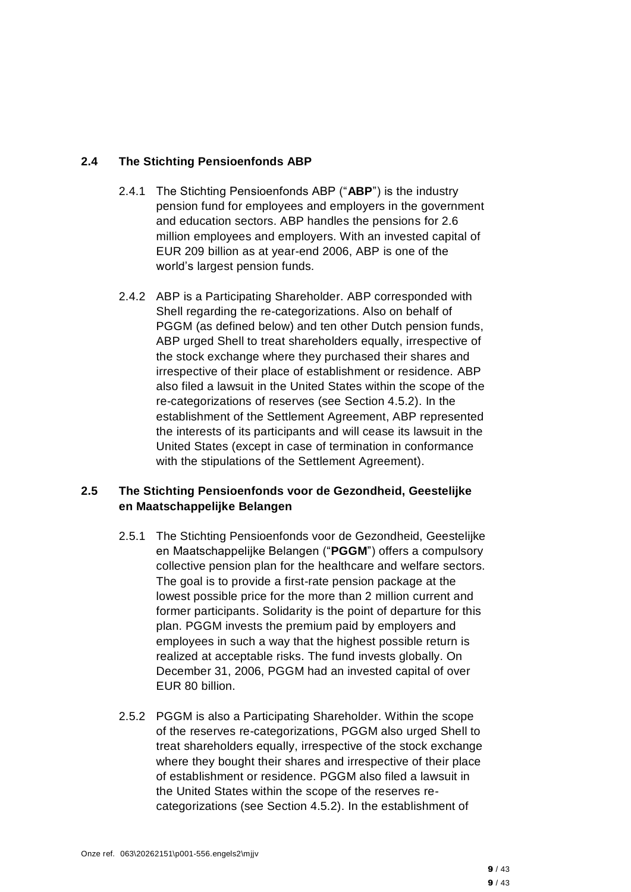# **2.4 The Stichting Pensioenfonds ABP**

- 2.4.1 The Stichting Pensioenfonds ABP ("**ABP**") is the industry pension fund for employees and employers in the government and education sectors. ABP handles the pensions for 2.6 million employees and employers. With an invested capital of EUR 209 billion as at year-end 2006, ABP is one of the world's largest pension funds.
- 2.4.2 ABP is a Participating Shareholder. ABP corresponded with Shell regarding the re-categorizations. Also on behalf of PGGM (as defined below) and ten other Dutch pension funds, ABP urged Shell to treat shareholders equally, irrespective of the stock exchange where they purchased their shares and irrespective of their place of establishment or residence. ABP also filed a lawsuit in the United States within the scope of the re-categorizations of reserves (see Section 4.5.2). In the establishment of the Settlement Agreement, ABP represented the interests of its participants and will cease its lawsuit in the United States (except in case of termination in conformance with the stipulations of the Settlement Agreement).

# **2.5 The Stichting Pensioenfonds voor de Gezondheid, Geestelijke en Maatschappelijke Belangen**

- 2.5.1 The Stichting Pensioenfonds voor de Gezondheid, Geestelijke en Maatschappelijke Belangen ("**PGGM**") offers a compulsory collective pension plan for the healthcare and welfare sectors. The goal is to provide a first-rate pension package at the lowest possible price for the more than 2 million current and former participants. Solidarity is the point of departure for this plan. PGGM invests the premium paid by employers and employees in such a way that the highest possible return is realized at acceptable risks. The fund invests globally. On December 31, 2006, PGGM had an invested capital of over EUR 80 billion.
- 2.5.2 PGGM is also a Participating Shareholder. Within the scope of the reserves re-categorizations, PGGM also urged Shell to treat shareholders equally, irrespective of the stock exchange where they bought their shares and irrespective of their place of establishment or residence. PGGM also filed a lawsuit in the United States within the scope of the reserves recategorizations (see Section 4.5.2). In the establishment of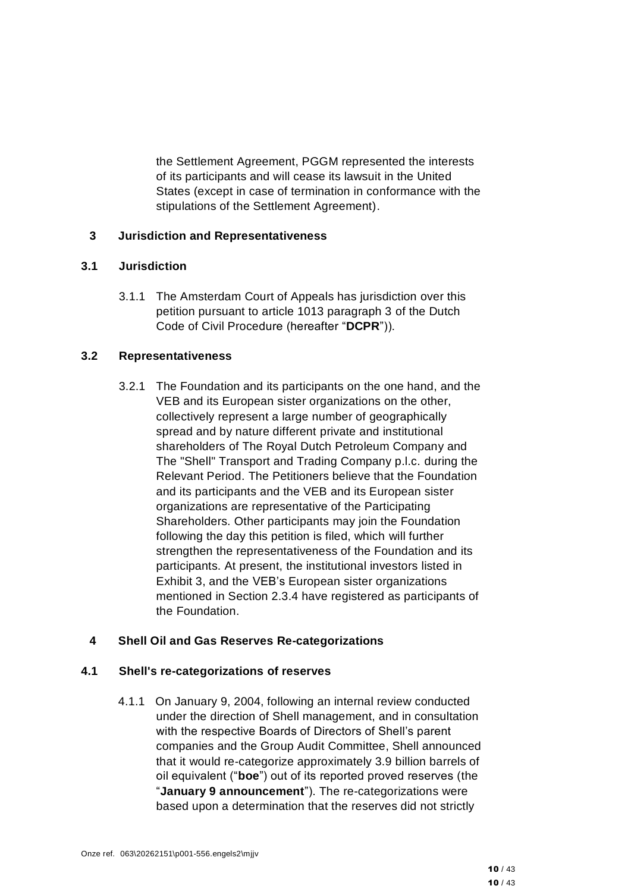the Settlement Agreement, PGGM represented the interests of its participants and will cease its lawsuit in the United States (except in case of termination in conformance with the stipulations of the Settlement Agreement).

### **3 Jurisdiction and Representativeness**

#### **3.1 Jurisdiction**

3.1.1 The Amsterdam Court of Appeals has jurisdiction over this petition pursuant to article 1013 paragraph 3 of the Dutch Code of Civil Procedure (hereafter "**DCPR**")).

### **3.2 Representativeness**

3.2.1 The Foundation and its participants on the one hand, and the VEB and its European sister organizations on the other, collectively represent a large number of geographically spread and by nature different private and institutional shareholders of The Royal Dutch Petroleum Company and The "Shell" Transport and Trading Company p.l.c. during the Relevant Period. The Petitioners believe that the Foundation and its participants and the VEB and its European sister organizations are representative of the Participating Shareholders. Other participants may join the Foundation following the day this petition is filed, which will further strengthen the representativeness of the Foundation and its participants. At present, the institutional investors listed in Exhibit 3, and the VEB's European sister organizations mentioned in Section 2.3.4 have registered as participants of the Foundation.

# **4 Shell Oil and Gas Reserves Re-categorizations**

#### **4.1 Shell's re-categorizations of reserves**

4.1.1 On January 9, 2004, following an internal review conducted under the direction of Shell management, and in consultation with the respective Boards of Directors of Shell's parent companies and the Group Audit Committee, Shell announced that it would re-categorize approximately 3.9 billion barrels of oil equivalent ("**boe**") out of its reported proved reserves (the "**January 9 announcement**"). The re-categorizations were based upon a determination that the reserves did not strictly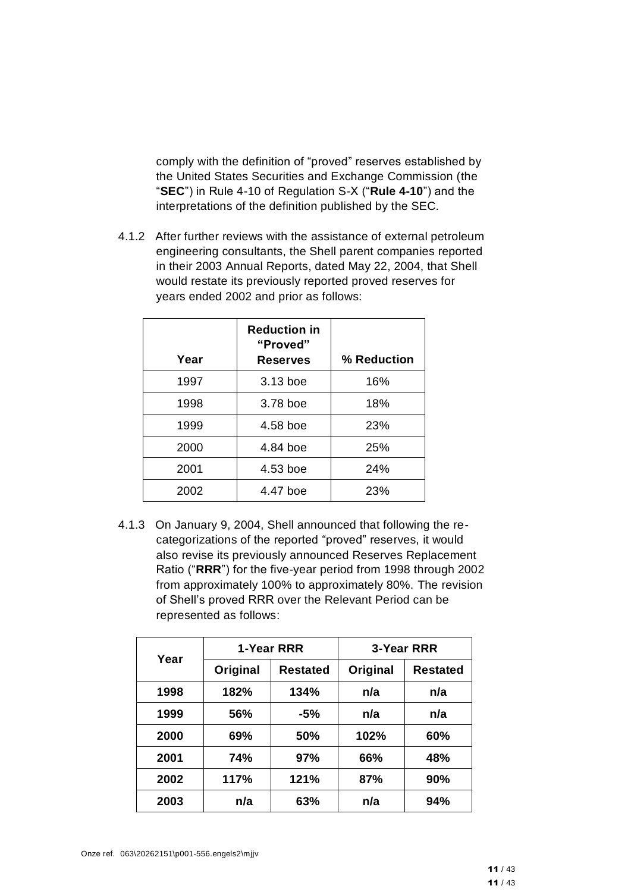comply with the definition of "proved" reserves established by the United States Securities and Exchange Commission (the "**SEC**") in Rule 4-10 of Regulation S-X ("**Rule 4-10**") and the interpretations of the definition published by the SEC.

4.1.2 After further reviews with the assistance of external petroleum engineering consultants, the Shell parent companies reported in their 2003 Annual Reports, dated May 22, 2004, that Shell would restate its previously reported proved reserves for years ended 2002 and prior as follows:

| Year | <b>Reduction in</b><br>"Proved"<br><b>Reserves</b> | % Reduction |
|------|----------------------------------------------------|-------------|
| 1997 | 3.13 boe                                           | 16%         |
| 1998 | 3.78 boe                                           | 18%         |
| 1999 | 4.58 boe                                           | 23%         |
| 2000 | 4.84 boe                                           | 25%         |
| 2001 | 4.53 boe                                           | 24%         |
| 2002 | 4.47 boe                                           | 23%         |

4.1.3 On January 9, 2004, Shell announced that following the recategorizations of the reported "proved" reserves, it would also revise its previously announced Reserves Replacement Ratio ("**RRR**") for the five-year period from 1998 through 2002 from approximately 100% to approximately 80%. The revision of Shell's proved RRR over the Relevant Period can be represented as follows:

| Year | 1-Year RRR |                 |          | 3-Year RRR      |
|------|------------|-----------------|----------|-----------------|
|      | Original   | <b>Restated</b> | Original | <b>Restated</b> |
| 1998 | 182%       | 134%            | n/a      | n/a             |
| 1999 | 56%        | $-5%$           | n/a      | n/a             |
| 2000 | 69%        | 50%             | 102%     | 60%             |
| 2001 | 74%        | 97%             | 66%      | 48%             |
| 2002 | 117%       | 121%            | 87%      | 90%             |
| 2003 | n/a        | 63%             | n/a      | 94%             |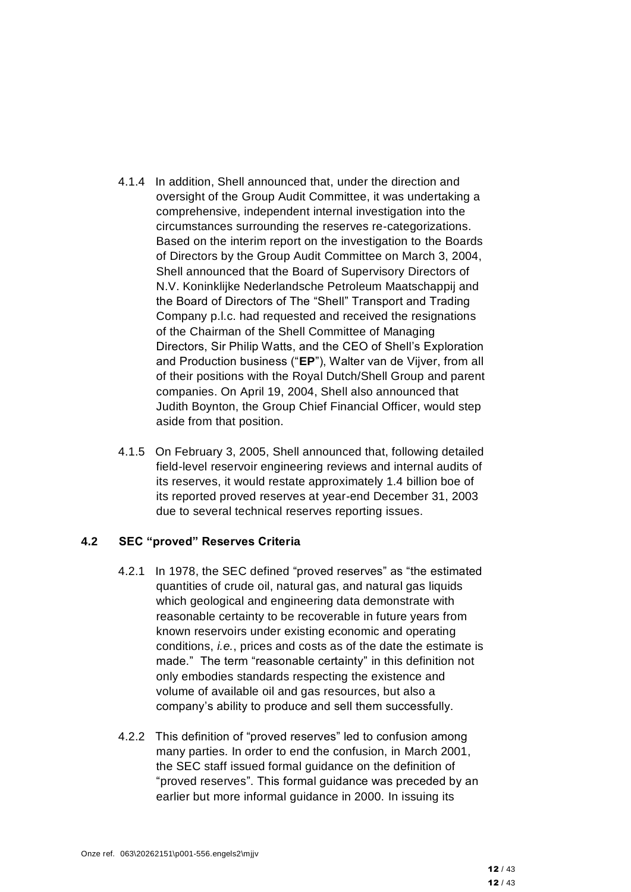- 4.1.4 In addition, Shell announced that, under the direction and oversight of the Group Audit Committee, it was undertaking a comprehensive, independent internal investigation into the circumstances surrounding the reserves re-categorizations. Based on the interim report on the investigation to the Boards of Directors by the Group Audit Committee on March 3, 2004, Shell announced that the Board of Supervisory Directors of N.V. Koninklijke Nederlandsche Petroleum Maatschappij and the Board of Directors of The "Shell" Transport and Trading Company p.l.c. had requested and received the resignations of the Chairman of the Shell Committee of Managing Directors, Sir Philip Watts, and the CEO of Shell's Exploration and Production business ("**EP**"), Walter van de Vijver, from all of their positions with the Royal Dutch/Shell Group and parent companies. On April 19, 2004, Shell also announced that Judith Boynton, the Group Chief Financial Officer, would step aside from that position.
- 4.1.5 On February 3, 2005, Shell announced that, following detailed field-level reservoir engineering reviews and internal audits of its reserves, it would restate approximately 1.4 billion boe of its reported proved reserves at year-end December 31, 2003 due to several technical reserves reporting issues.

#### **4.2 SEC "proved" Reserves Criteria**

- 4.2.1 In 1978, the SEC defined "proved reserves" as "the estimated quantities of crude oil, natural gas, and natural gas liquids which geological and engineering data demonstrate with reasonable certainty to be recoverable in future years from known reservoirs under existing economic and operating conditions, *i.e.*, prices and costs as of the date the estimate is made." The term "reasonable certainty" in this definition not only embodies standards respecting the existence and volume of available oil and gas resources, but also a company's ability to produce and sell them successfully.
- 4.2.2 This definition of "proved reserves" led to confusion among many parties. In order to end the confusion, in March 2001, the SEC staff issued formal guidance on the definition of "proved reserves". This formal guidance was preceded by an earlier but more informal guidance in 2000. In issuing its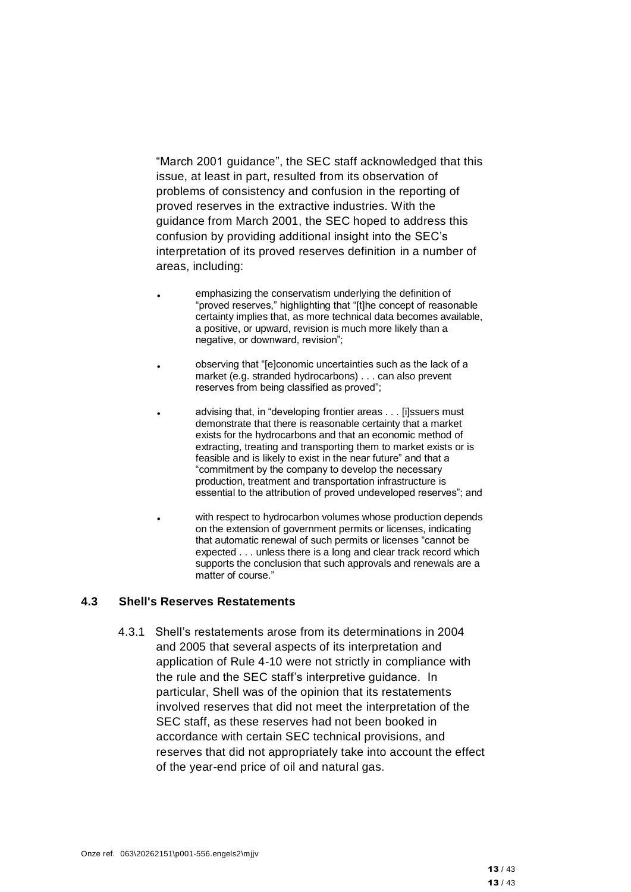"March 2001 guidance", the SEC staff acknowledged that this issue, at least in part, resulted from its observation of problems of consistency and confusion in the reporting of proved reserves in the extractive industries. With the guidance from March 2001, the SEC hoped to address this confusion by providing additional insight into the SEC's interpretation of its proved reserves definition in a number of areas, including:

- emphasizing the conservatism underlying the definition of "proved reserves," highlighting that "[t]he concept of reasonable certainty implies that, as more technical data becomes available, a positive, or upward, revision is much more likely than a negative, or downward, revision";
- observing that "[e]conomic uncertainties such as the lack of a market (e.g. stranded hydrocarbons) . . . can also prevent reserves from being classified as proved";
- advising that, in "developing frontier areas . . . [i]ssuers must demonstrate that there is reasonable certainty that a market exists for the hydrocarbons and that an economic method of extracting, treating and transporting them to market exists or is feasible and is likely to exist in the near future" and that a "commitment by the company to develop the necessary production, treatment and transportation infrastructure is essential to the attribution of proved undeveloped reserves"; and
- with respect to hydrocarbon volumes whose production depends on the extension of government permits or licenses, indicating that automatic renewal of such permits or licenses "cannot be expected . . . unless there is a long and clear track record which supports the conclusion that such approvals and renewals are a matter of course."

#### **4.3 Shell's Reserves Restatements**

4.3.1 Shell's restatements arose from its determinations in 2004 and 2005 that several aspects of its interpretation and application of Rule 4-10 were not strictly in compliance with the rule and the SEC staff's interpretive guidance. In particular, Shell was of the opinion that its restatements involved reserves that did not meet the interpretation of the SEC staff, as these reserves had not been booked in accordance with certain SEC technical provisions, and reserves that did not appropriately take into account the effect of the year-end price of oil and natural gas.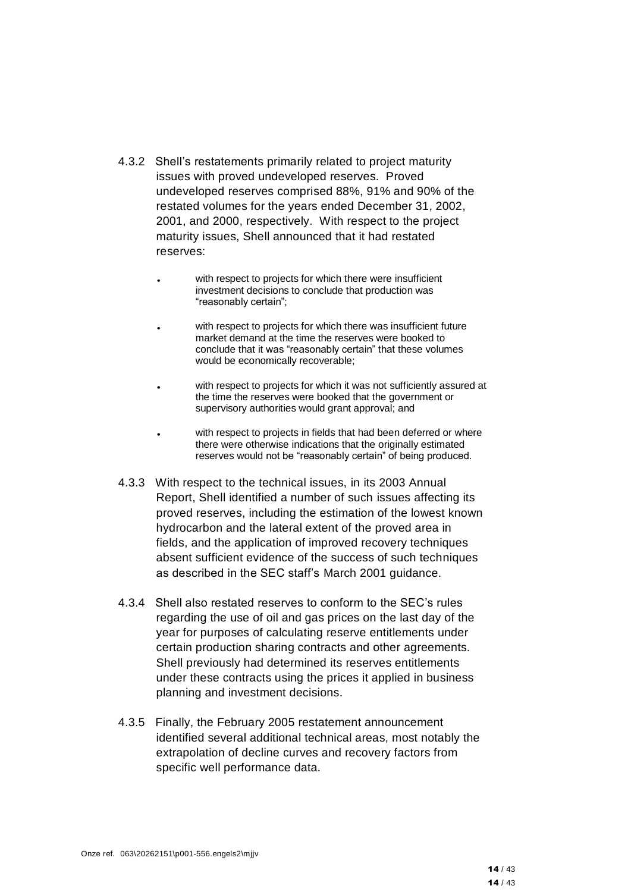- 4.3.2 Shell's restatements primarily related to project maturity issues with proved undeveloped reserves. Proved undeveloped reserves comprised 88%, 91% and 90% of the restated volumes for the years ended December 31, 2002, 2001, and 2000, respectively. With respect to the project maturity issues, Shell announced that it had restated reserves:
	- with respect to projects for which there were insufficient investment decisions to conclude that production was "reasonably certain";
	- with respect to projects for which there was insufficient future market demand at the time the reserves were booked to conclude that it was "reasonably certain" that these volumes would be economically recoverable;
	- with respect to projects for which it was not sufficiently assured at the time the reserves were booked that the government or supervisory authorities would grant approval; and
	- with respect to projects in fields that had been deferred or where there were otherwise indications that the originally estimated reserves would not be "reasonably certain" of being produced.
- 4.3.3 With respect to the technical issues, in its 2003 Annual Report, Shell identified a number of such issues affecting its proved reserves, including the estimation of the lowest known hydrocarbon and the lateral extent of the proved area in fields, and the application of improved recovery techniques absent sufficient evidence of the success of such techniques as described in the SEC staff's March 2001 guidance.
- 4.3.4 Shell also restated reserves to conform to the SEC's rules regarding the use of oil and gas prices on the last day of the year for purposes of calculating reserve entitlements under certain production sharing contracts and other agreements. Shell previously had determined its reserves entitlements under these contracts using the prices it applied in business planning and investment decisions.
- 4.3.5 Finally, the February 2005 restatement announcement identified several additional technical areas, most notably the extrapolation of decline curves and recovery factors from specific well performance data.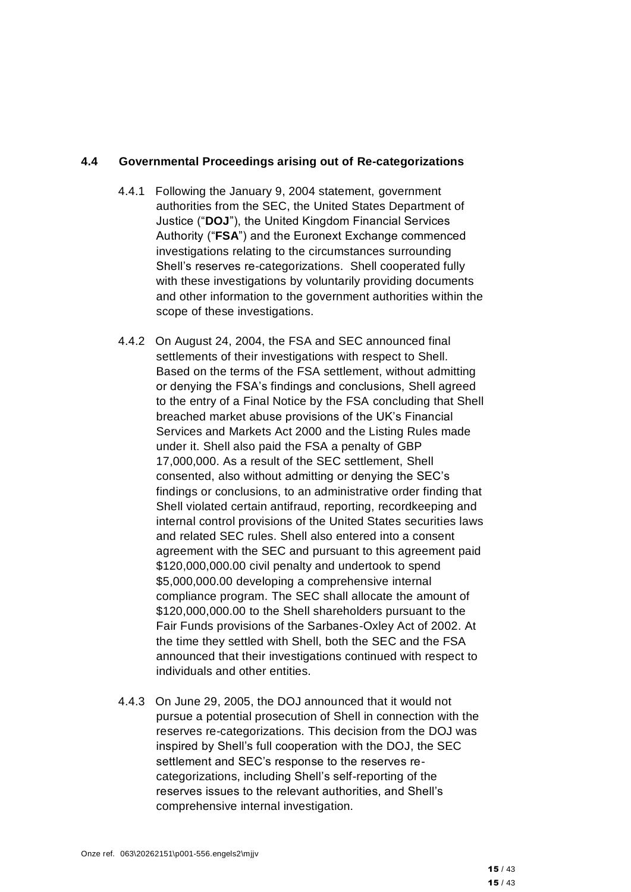#### **4.4 Governmental Proceedings arising out of Re-categorizations**

- 4.4.1 Following the January 9, 2004 statement, government authorities from the SEC, the United States Department of Justice ("**DOJ**"), the United Kingdom Financial Services Authority ("**FSA**") and the Euronext Exchange commenced investigations relating to the circumstances surrounding Shell's reserves re-categorizations. Shell cooperated fully with these investigations by voluntarily providing documents and other information to the government authorities within the scope of these investigations.
- <span id="page-14-0"></span>4.4.2 On August 24, 2004, the FSA and SEC announced final settlements of their investigations with respect to Shell. Based on the terms of the FSA settlement, without admitting or denying the FSA's findings and conclusions, Shell agreed to the entry of a Final Notice by the FSA concluding that Shell breached market abuse provisions of the UK's Financial Services and Markets Act 2000 and the Listing Rules made under it. Shell also paid the FSA a penalty of GBP 17,000,000. As a result of the SEC settlement, Shell consented, also without admitting or denying the SEC's findings or conclusions, to an administrative order finding that Shell violated certain antifraud, reporting, recordkeeping and internal control provisions of the United States securities laws and related SEC rules. Shell also entered into a consent agreement with the SEC and pursuant to this agreement paid \$120,000,000.00 civil penalty and undertook to spend \$5,000,000.00 developing a comprehensive internal compliance program. The SEC shall allocate the amount of \$120,000,000.00 to the Shell shareholders pursuant to the Fair Funds provisions of the Sarbanes-Oxley Act of 2002. At the time they settled with Shell, both the SEC and the FSA announced that their investigations continued with respect to individuals and other entities.
- 4.4.3 On June 29, 2005, the DOJ announced that it would not pursue a potential prosecution of Shell in connection with the reserves re-categorizations. This decision from the DOJ was inspired by Shell's full cooperation with the DOJ, the SEC settlement and SEC's response to the reserves recategorizations, including Shell's self-reporting of the reserves issues to the relevant authorities, and Shell's comprehensive internal investigation.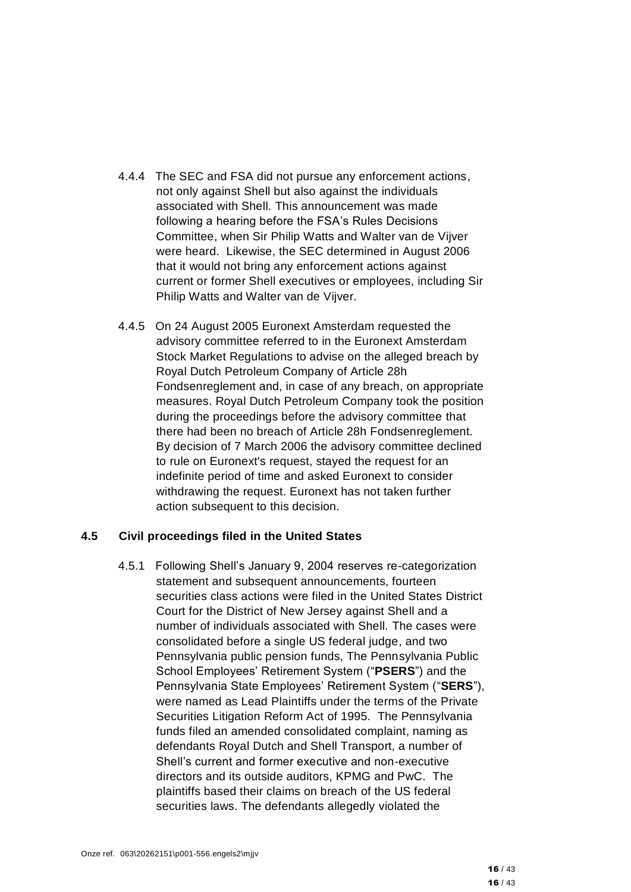- 4.4.4 The SEC and FSA did not pursue any enforcement actions, not only against Shell but also against the individuals associated with Shell. This announcement was made following a hearing before the FSA's Rules Decisions Committee, when Sir Philip Watts and Walter van de Vijver were heard. Likewise, the SEC determined in August 2006 that it would not bring any enforcement actions against current or former Shell executives or employees, including Sir Philip Watts and Walter van de Vijver.
- 4.4.5 On 24 August 2005 Euronext Amsterdam requested the advisory committee referred to in the Euronext Amsterdam Stock Market Regulations to advise on the alleged breach by Royal Dutch Petroleum Company of Article 28h Fondsenreglement and, in case of any breach, on appropriate measures. Royal Dutch Petroleum Company took the position during the proceedings before the advisory committee that there had been no breach of Article 28h Fondsenreglement. By decision of 7 March 2006 the advisory committee declined to rule on Euronext's request, stayed the request for an indefinite period of time and asked Euronext to consider withdrawing the request. Euronext has not taken further action subsequent to this decision.

#### **4.5 Civil proceedings filed in the United States**

4.5.1 Following Shell's January 9, 2004 reserves re-categorization statement and subsequent announcements, fourteen securities class actions were filed in the United States District Court for the District of New Jersey against Shell and a number of individuals associated with Shell. The cases were consolidated before a single US federal judge, and two Pennsylvania public pension funds, The Pennsylvania Public School Employees' Retirement System ("**PSERS**") and the Pennsylvania State Employees' Retirement System ("**SERS**"), were named as Lead Plaintiffs under the terms of the Private Securities Litigation Reform Act of 1995. The Pennsylvania funds filed an amended consolidated complaint, naming as defendants Royal Dutch and Shell Transport, a number of Shell's current and former executive and non-executive directors and its outside auditors, KPMG and PwC. The plaintiffs based their claims on breach of the US federal securities laws. The defendants allegedly violated the

16 / 43 16 / 43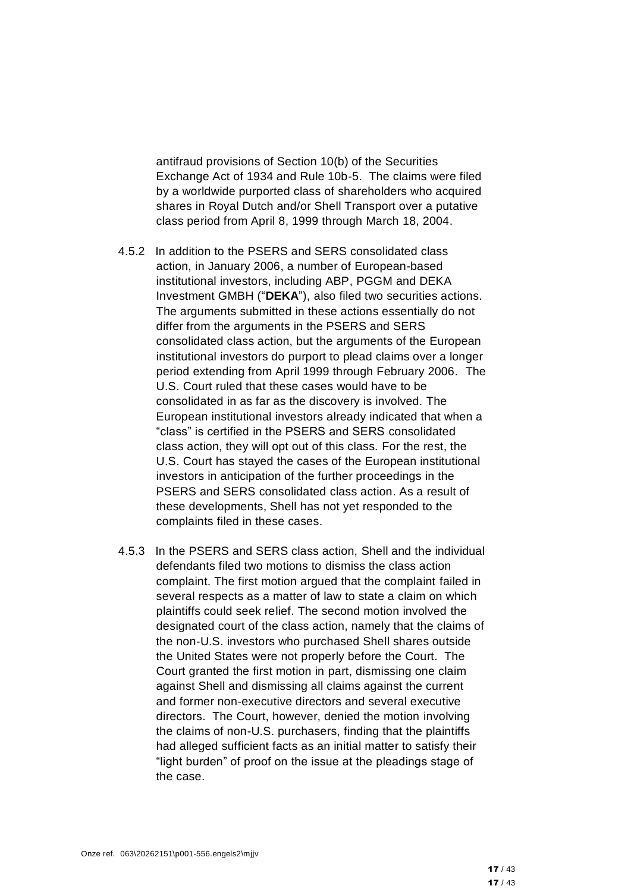antifraud provisions of Section 10(b) of the Securities Exchange Act of 1934 and Rule 10b-5. The claims were filed by a worldwide purported class of shareholders who acquired shares in Royal Dutch and/or Shell Transport over a putative class period from April 8, 1999 through March 18, 2004.

- 4.5.2 In addition to the PSERS and SERS consolidated class action, in January 2006, a number of European-based institutional investors, including ABP, PGGM and DEKA Investment GMBH ("**DEKA**"), also filed two securities actions. The arguments submitted in these actions essentially do not differ from the arguments in the PSERS and SERS consolidated class action, but the arguments of the European institutional investors do purport to plead claims over a longer period extending from April 1999 through February 2006. The U.S. Court ruled that these cases would have to be consolidated in as far as the discovery is involved. The European institutional investors already indicated that when a "class" is certified in the PSERS and SERS consolidated class action, they will opt out of this class. For the rest, the U.S. Court has stayed the cases of the European institutional investors in anticipation of the further proceedings in the PSERS and SERS consolidated class action. As a result of these developments, Shell has not yet responded to the complaints filed in these cases.
- 4.5.3 In the PSERS and SERS class action, Shell and the individual defendants filed two motions to dismiss the class action complaint. The first motion argued that the complaint failed in several respects as a matter of law to state a claim on which plaintiffs could seek relief. The second motion involved the designated court of the class action, namely that the claims of the non-U.S. investors who purchased Shell shares outside the United States were not properly before the Court. The Court granted the first motion in part, dismissing one claim against Shell and dismissing all claims against the current and former non-executive directors and several executive directors. The Court, however, denied the motion involving the claims of non-U.S. purchasers, finding that the plaintiffs had alleged sufficient facts as an initial matter to satisfy their "light burden" of proof on the issue at the pleadings stage of the case.

 $17/43$ 17 / 43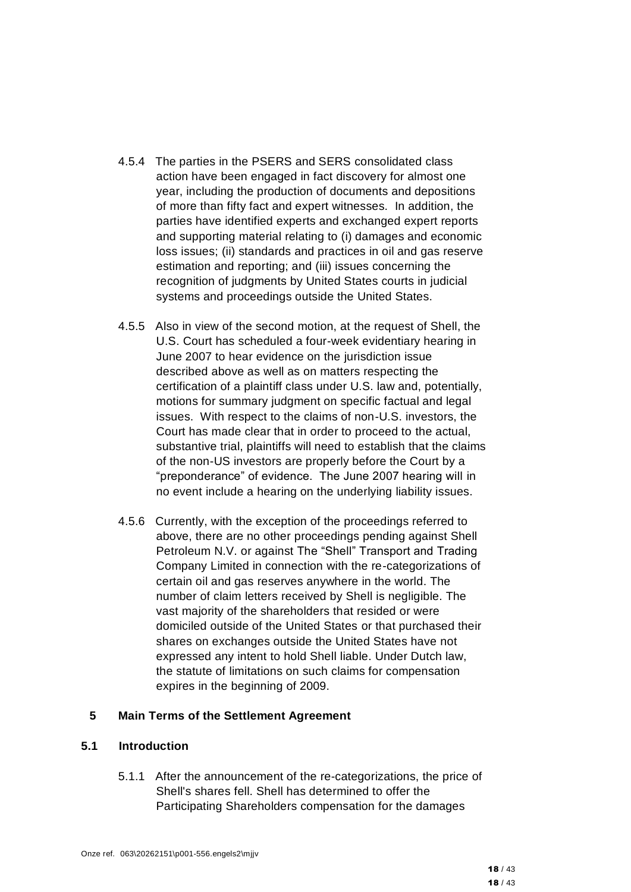- 4.5.4 The parties in the PSERS and SERS consolidated class action have been engaged in fact discovery for almost one year, including the production of documents and depositions of more than fifty fact and expert witnesses. In addition, the parties have identified experts and exchanged expert reports and supporting material relating to (i) damages and economic loss issues; (ii) standards and practices in oil and gas reserve estimation and reporting; and (iii) issues concerning the recognition of judgments by United States courts in judicial systems and proceedings outside the United States.
- 4.5.5 Also in view of the second motion, at the request of Shell, the U.S. Court has scheduled a four-week evidentiary hearing in June 2007 to hear evidence on the jurisdiction issue described above as well as on matters respecting the certification of a plaintiff class under U.S. law and, potentially, motions for summary judgment on specific factual and legal issues. With respect to the claims of non-U.S. investors, the Court has made clear that in order to proceed to the actual, substantive trial, plaintiffs will need to establish that the claims of the non-US investors are properly before the Court by a "preponderance" of evidence. The June 2007 hearing will in no event include a hearing on the underlying liability issues.
- 4.5.6 Currently, with the exception of the proceedings referred to above, there are no other proceedings pending against Shell Petroleum N.V. or against The "Shell" Transport and Trading Company Limited in connection with the re-categorizations of certain oil and gas reserves anywhere in the world. The number of claim letters received by Shell is negligible. The vast majority of the shareholders that resided or were domiciled outside of the United States or that purchased their shares on exchanges outside the United States have not expressed any intent to hold Shell liable. Under Dutch law, the statute of limitations on such claims for compensation expires in the beginning of 2009.

#### **5 Main Terms of the Settlement Agreement**

#### **5.1 Introduction**

5.1.1 After the announcement of the re-categorizations, the price of Shell's shares fell. Shell has determined to offer the Participating Shareholders compensation for the damages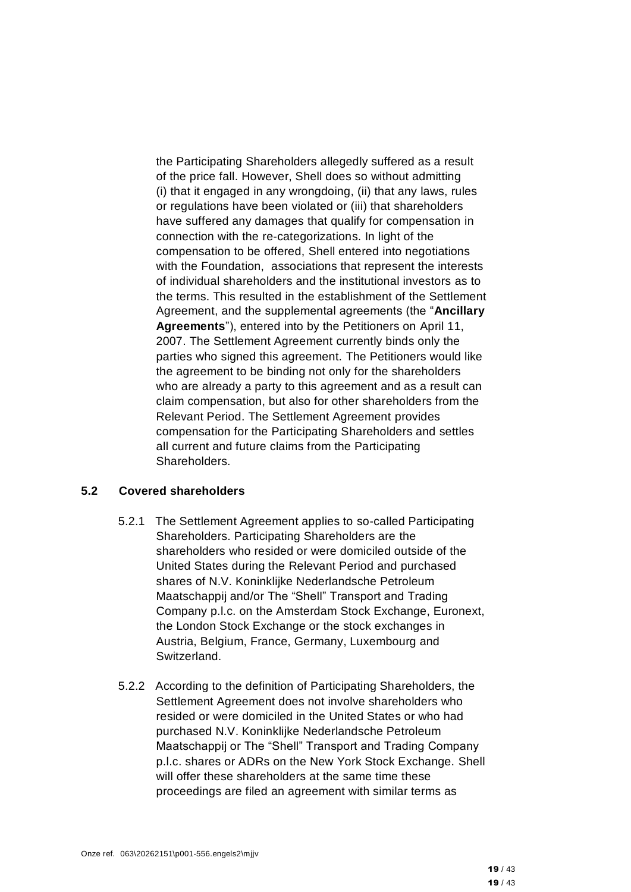the Participating Shareholders allegedly suffered as a result of the price fall. However, Shell does so without admitting (i) that it engaged in any wrongdoing, (ii) that any laws, rules or regulations have been violated or (iii) that shareholders have suffered any damages that qualify for compensation in connection with the re-categorizations. In light of the compensation to be offered, Shell entered into negotiations with the Foundation, associations that represent the interests of individual shareholders and the institutional investors as to the terms. This resulted in the establishment of the Settlement Agreement, and the supplemental agreements (the "**Ancillary Agreements**"), entered into by the Petitioners on April 11, 2007. The Settlement Agreement currently binds only the parties who signed this agreement. The Petitioners would like the agreement to be binding not only for the shareholders who are already a party to this agreement and as a result can claim compensation, but also for other shareholders from the Relevant Period. The Settlement Agreement provides compensation for the Participating Shareholders and settles all current and future claims from the Participating Shareholders.

#### **5.2 Covered shareholders**

- 5.2.1 The Settlement Agreement applies to so-called Participating Shareholders. Participating Shareholders are the shareholders who resided or were domiciled outside of the United States during the Relevant Period and purchased shares of N.V. Koninklijke Nederlandsche Petroleum Maatschappij and/or The "Shell" Transport and Trading Company p.l.c. on the Amsterdam Stock Exchange, Euronext, the London Stock Exchange or the stock exchanges in Austria, Belgium, France, Germany, Luxembourg and Switzerland.
- 5.2.2 According to the definition of Participating Shareholders, the Settlement Agreement does not involve shareholders who resided or were domiciled in the United States or who had purchased N.V. Koninklijke Nederlandsche Petroleum Maatschappij or The "Shell" Transport and Trading Company p.l.c. shares or ADRs on the New York Stock Exchange. Shell will offer these shareholders at the same time these proceedings are filed an agreement with similar terms as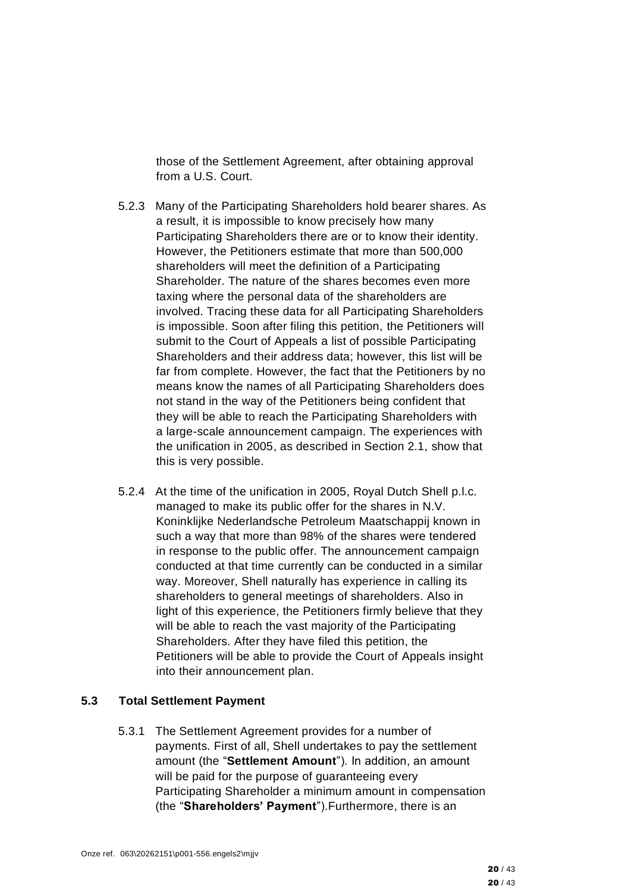those of the Settlement Agreement, after obtaining approval from a U.S. Court.

- 5.2.3 Many of the Participating Shareholders hold bearer shares. As a result, it is impossible to know precisely how many Participating Shareholders there are or to know their identity. However, the Petitioners estimate that more than 500,000 shareholders will meet the definition of a Participating Shareholder. The nature of the shares becomes even more taxing where the personal data of the shareholders are involved. Tracing these data for all Participating Shareholders is impossible. Soon after filing this petition, the Petitioners will submit to the Court of Appeals a list of possible Participating Shareholders and their address data; however, this list will be far from complete. However, the fact that the Petitioners by no means know the names of all Participating Shareholders does not stand in the way of the Petitioners being confident that they will be able to reach the Participating Shareholders with a large-scale announcement campaign. The experiences with the unification in 2005, as described in Section 2.1, show that this is very possible.
- 5.2.4 At the time of the unification in 2005, Royal Dutch Shell p.l.c. managed to make its public offer for the shares in N.V. Koninklijke Nederlandsche Petroleum Maatschappij known in such a way that more than 98% of the shares were tendered in response to the public offer. The announcement campaign conducted at that time currently can be conducted in a similar way. Moreover, Shell naturally has experience in calling its shareholders to general meetings of shareholders. Also in light of this experience, the Petitioners firmly believe that they will be able to reach the vast majority of the Participating Shareholders. After they have filed this petition, the Petitioners will be able to provide the Court of Appeals insight into their announcement plan.

#### **5.3 Total Settlement Payment**

5.3.1 The Settlement Agreement provides for a number of payments. First of all, Shell undertakes to pay the settlement amount (the "**Settlement Amount**"). In addition, an amount will be paid for the purpose of guaranteeing every Participating Shareholder a minimum amount in compensation (the "**Shareholders' Payment**").Furthermore, there is an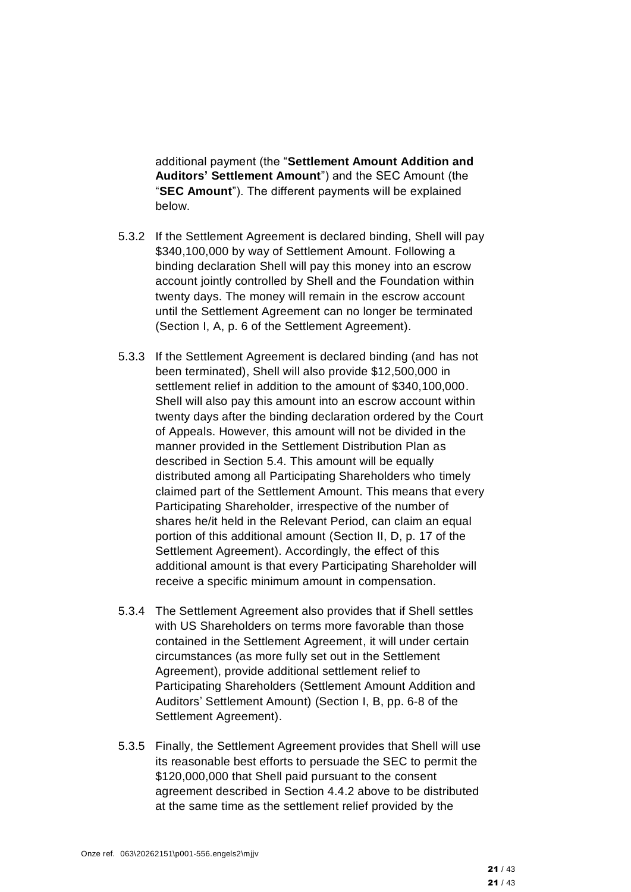additional payment (the "**Settlement Amount Addition and Auditors' Settlement Amount**") and the SEC Amount (the "**SEC Amount**"). The different payments will be explained below.

- <span id="page-20-0"></span>5.3.2 If the Settlement Agreement is declared binding, Shell will pay \$340,100,000 by way of Settlement Amount. Following a binding declaration Shell will pay this money into an escrow account jointly controlled by Shell and the Foundation within twenty days. The money will remain in the escrow account until the Settlement Agreement can no longer be terminated (Section I, A, p. 6 of the Settlement Agreement).
- 5.3.3 If the Settlement Agreement is declared binding (and has not been terminated), Shell will also provide \$12,500,000 in settlement relief in addition to the amount of \$340,100,000. Shell will also pay this amount into an escrow account within twenty days after the binding declaration ordered by the Court of Appeals. However, this amount will not be divided in the manner provided in the Settlement Distribution Plan as described in Section 5.4. This amount will be equally distributed among all Participating Shareholders who timely claimed part of the Settlement Amount. This means that every Participating Shareholder, irrespective of the number of shares he/it held in the Relevant Period, can claim an equal portion of this additional amount (Section II, D, p. 17 of the Settlement Agreement). Accordingly, the effect of this additional amount is that every Participating Shareholder will receive a specific minimum amount in compensation.
- 5.3.4 The Settlement Agreement also provides that if Shell settles with US Shareholders on terms more favorable than those contained in the Settlement Agreement, it will under certain circumstances (as more fully set out in the Settlement Agreement), provide additional settlement relief to Participating Shareholders (Settlement Amount Addition and Auditors' Settlement Amount) (Section I, B, pp. 6-8 of the Settlement Agreement).
- 5.3.5 Finally, the Settlement Agreement provides that Shell will use its reasonable best efforts to persuade the SEC to permit the \$120,000,000 that Shell paid pursuant to the consent agreement described in Section [4.4.2](#page-14-0) above to be distributed at the same time as the settlement relief provided by the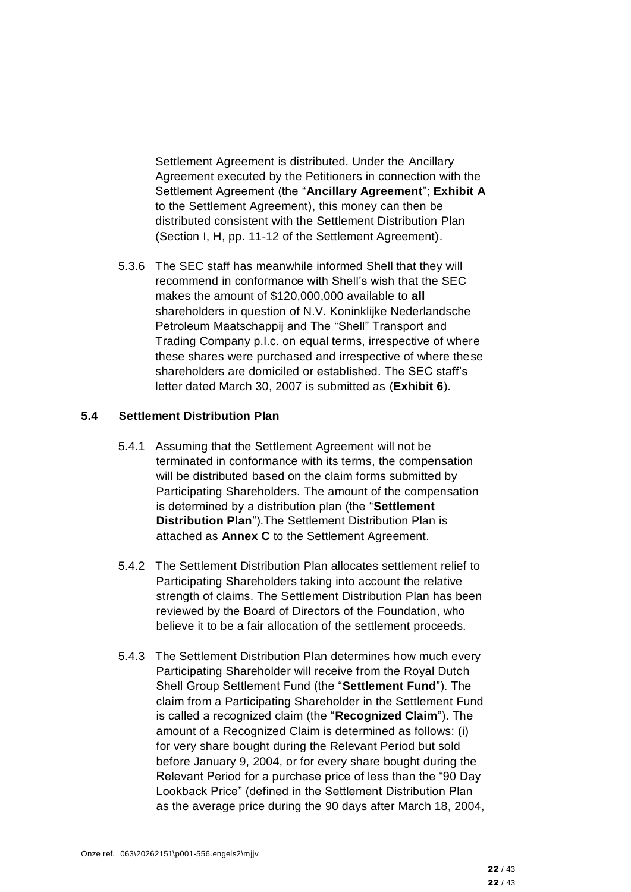Settlement Agreement is distributed. Under the Ancillary Agreement executed by the Petitioners in connection with the Settlement Agreement (the "**Ancillary Agreement**"; **Exhibit A** to the Settlement Agreement), this money can then be distributed consistent with the Settlement Distribution Plan (Section I, H, pp. 11-12 of the Settlement Agreement).

5.3.6 The SEC staff has meanwhile informed Shell that they will recommend in conformance with Shell's wish that the SEC makes the amount of \$120,000,000 available to **all** shareholders in question of N.V. Koninklijke Nederlandsche Petroleum Maatschappij and The "Shell" Transport and Trading Company p.l.c. on equal terms, irrespective of where these shares were purchased and irrespective of where these shareholders are domiciled or established. The SEC staff's letter dated March 30, 2007 is submitted as (**Exhibit 6**).

#### **5.4 Settlement Distribution Plan**

- 5.4.1 Assuming that the Settlement Agreement will not be terminated in conformance with its terms, the compensation will be distributed based on the claim forms submitted by Participating Shareholders. The amount of the compensation is determined by a distribution plan (the "**Settlement Distribution Plan**").The Settlement Distribution Plan is attached as **Annex C** to the Settlement Agreement.
- 5.4.2 The Settlement Distribution Plan allocates settlement relief to Participating Shareholders taking into account the relative strength of claims. The Settlement Distribution Plan has been reviewed by the Board of Directors of the Foundation, who believe it to be a fair allocation of the settlement proceeds.
- 5.4.3 The Settlement Distribution Plan determines how much every Participating Shareholder will receive from the Royal Dutch Shell Group Settlement Fund (the "**Settlement Fund**"). The claim from a Participating Shareholder in the Settlement Fund is called a recognized claim (the "**Recognized Claim**"). The amount of a Recognized Claim is determined as follows: (i) for very share bought during the Relevant Period but sold before January 9, 2004, or for every share bought during the Relevant Period for a purchase price of less than the "90 Day Lookback Price" (defined in the Settlement Distribution Plan as the average price during the 90 days after March 18, 2004,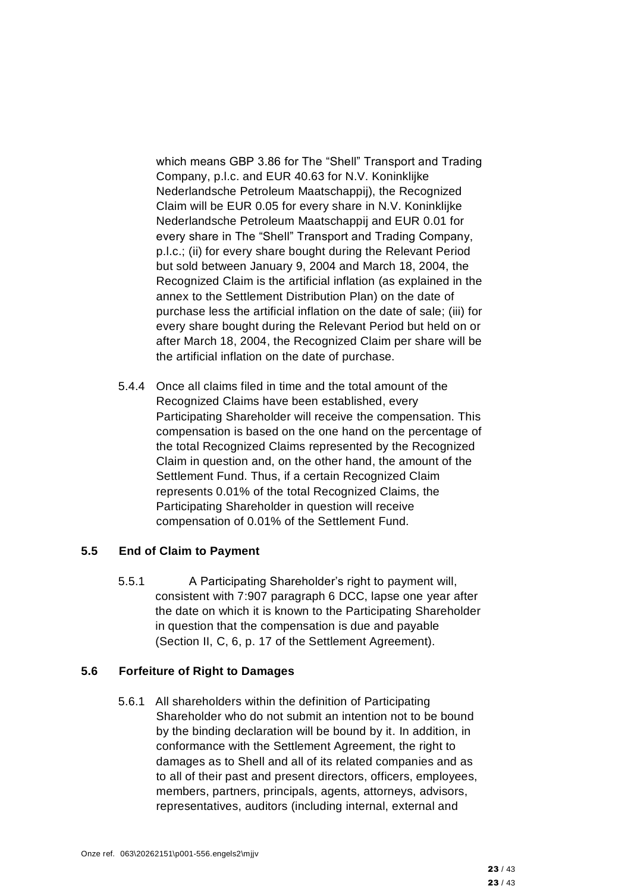which means GBP 3.86 for The "Shell" Transport and Trading Company, p.l.c. and EUR 40.63 for N.V. Koninklijke Nederlandsche Petroleum Maatschappij), the Recognized Claim will be EUR 0.05 for every share in N.V. Koninklijke Nederlandsche Petroleum Maatschappij and EUR 0.01 for every share in The "Shell" Transport and Trading Company, p.l.c.; (ii) for every share bought during the Relevant Period but sold between January 9, 2004 and March 18, 2004, the Recognized Claim is the artificial inflation (as explained in the annex to the Settlement Distribution Plan) on the date of purchase less the artificial inflation on the date of sale; (iii) for every share bought during the Relevant Period but held on or after March 18, 2004, the Recognized Claim per share will be the artificial inflation on the date of purchase.

5.4.4 Once all claims filed in time and the total amount of the Recognized Claims have been established, every Participating Shareholder will receive the compensation. This compensation is based on the one hand on the percentage of the total Recognized Claims represented by the Recognized Claim in question and, on the other hand, the amount of the Settlement Fund. Thus, if a certain Recognized Claim represents 0.01% of the total Recognized Claims, the Participating Shareholder in question will receive compensation of 0.01% of the Settlement Fund.

#### **5.5 End of Claim to Payment**

5.5.1 A Participating Shareholder's right to payment will, consistent with 7:907 paragraph 6 DCC, lapse one year after the date on which it is known to the Participating Shareholder in question that the compensation is due and payable (Section II, C, 6, p. 17 of the Settlement Agreement).

#### **5.6 Forfeiture of Right to Damages**

5.6.1 All shareholders within the definition of Participating Shareholder who do not submit an intention not to be bound by the binding declaration will be bound by it. In addition, in conformance with the Settlement Agreement, the right to damages as to Shell and all of its related companies and as to all of their past and present directors, officers, employees, members, partners, principals, agents, attorneys, advisors, representatives, auditors (including internal, external and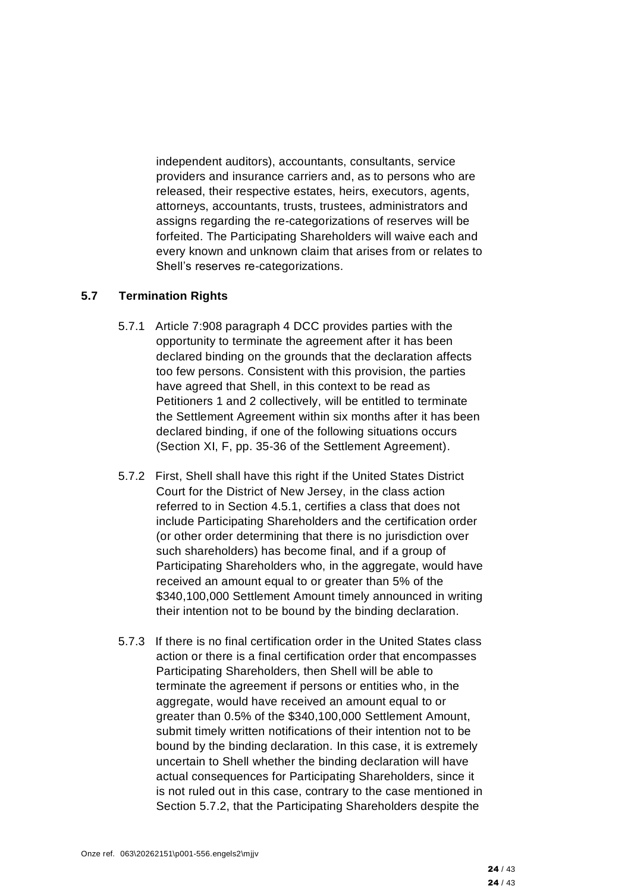independent auditors), accountants, consultants, service providers and insurance carriers and, as to persons who are released, their respective estates, heirs, executors, agents, attorneys, accountants, trusts, trustees, administrators and assigns regarding the re-categorizations of reserves will be forfeited. The Participating Shareholders will waive each and every known and unknown claim that arises from or relates to Shell's reserves re-categorizations.

### **5.7 Termination Rights**

- 5.7.1 Article 7:908 paragraph 4 DCC provides parties with the opportunity to terminate the agreement after it has been declared binding on the grounds that the declaration affects too few persons. Consistent with this provision, the parties have agreed that Shell, in this context to be read as Petitioners 1 and 2 collectively, will be entitled to terminate the Settlement Agreement within six months after it has been declared binding, if one of the following situations occurs (Section XI, F, pp. 35-36 of the Settlement Agreement).
- 5.7.2 First, Shell shall have this right if the United States District Court for the District of New Jersey, in the class action referred to in Section 4.5.1, certifies a class that does not include Participating Shareholders and the certification order (or other order determining that there is no jurisdiction over such shareholders) has become final, and if a group of Participating Shareholders who, in the aggregate, would have received an amount equal to or greater than 5% of the \$340,100,000 Settlement Amount timely announced in writing their intention not to be bound by the binding declaration.
- 5.7.3 If there is no final certification order in the United States class action or there is a final certification order that encompasses Participating Shareholders, then Shell will be able to terminate the agreement if persons or entities who, in the aggregate, would have received an amount equal to or greater than 0.5% of the \$340,100,000 Settlement Amount, submit timely written notifications of their intention not to be bound by the binding declaration. In this case, it is extremely uncertain to Shell whether the binding declaration will have actual consequences for Participating Shareholders, since it is not ruled out in this case, contrary to the case mentioned in Section 5.7.2, that the Participating Shareholders despite the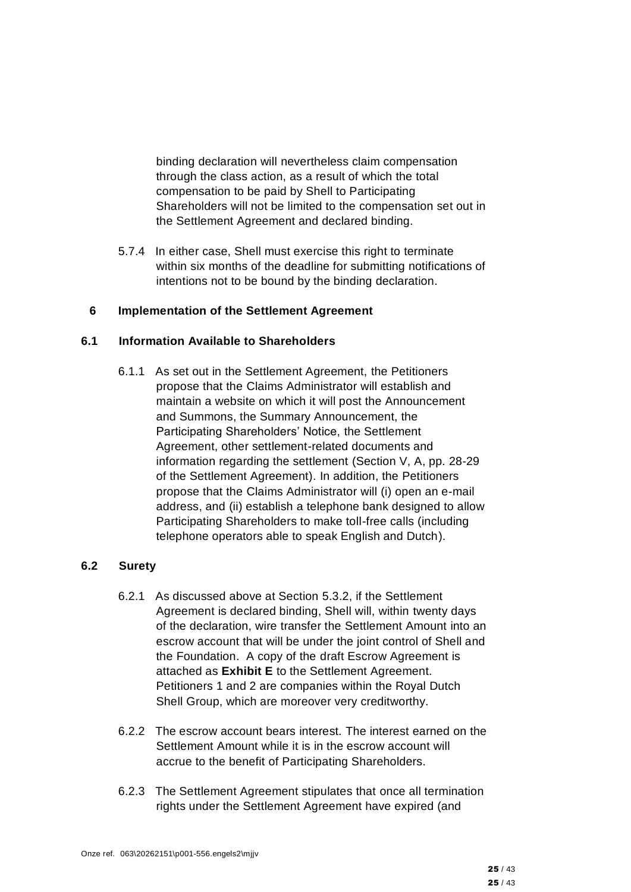binding declaration will nevertheless claim compensation through the class action, as a result of which the total compensation to be paid by Shell to Participating Shareholders will not be limited to the compensation set out in the Settlement Agreement and declared binding.

5.7.4 In either case, Shell must exercise this right to terminate within six months of the deadline for submitting notifications of intentions not to be bound by the binding declaration.

#### **6 Implementation of the Settlement Agreement**

#### **6.1 Information Available to Shareholders**

6.1.1 As set out in the Settlement Agreement, the Petitioners propose that the Claims Administrator will establish and maintain a website on which it will post the Announcement and Summons, the Summary Announcement, the Participating Shareholders' Notice, the Settlement Agreement, other settlement-related documents and information regarding the settlement (Section V, A, pp. 28-29 of the Settlement Agreement). In addition, the Petitioners propose that the Claims Administrator will (i) open an e-mail address, and (ii) establish a telephone bank designed to allow Participating Shareholders to make toll-free calls (including telephone operators able to speak English and Dutch).

#### **6.2 Surety**

- 6.2.1 As discussed above at Section [5.3.2,](#page-20-0) if the Settlement Agreement is declared binding, Shell will, within twenty days of the declaration, wire transfer the Settlement Amount into an escrow account that will be under the joint control of Shell and the Foundation. A copy of the draft Escrow Agreement is attached as **Exhibit E** to the Settlement Agreement. Petitioners 1 and 2 are companies within the Royal Dutch Shell Group, which are moreover very creditworthy.
- 6.2.2 The escrow account bears interest. The interest earned on the Settlement Amount while it is in the escrow account will accrue to the benefit of Participating Shareholders.
- 6.2.3 The Settlement Agreement stipulates that once all termination rights under the Settlement Agreement have expired (and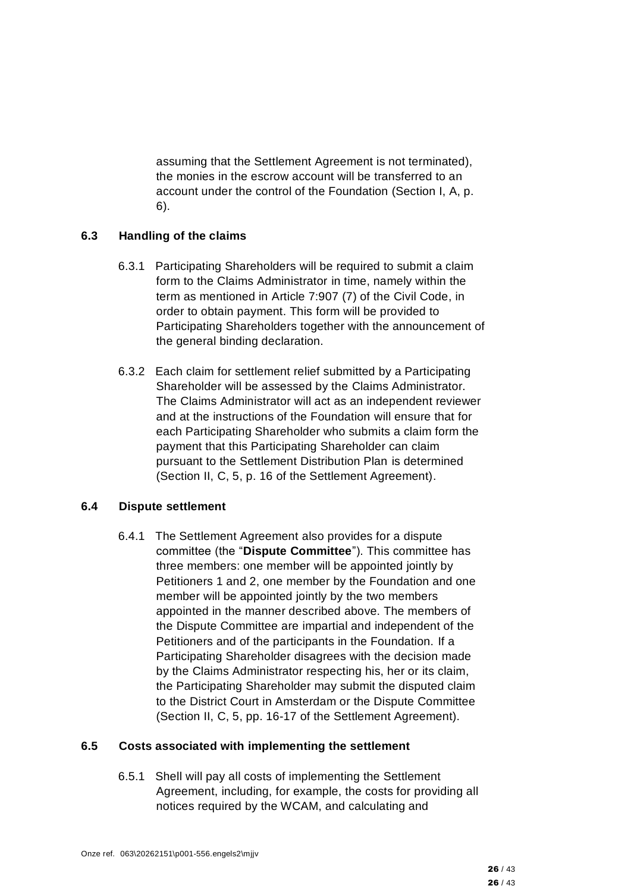assuming that the Settlement Agreement is not terminated), the monies in the escrow account will be transferred to an account under the control of the Foundation (Section I, A, p. 6).

### **6.3 Handling of the claims**

- 6.3.1 Participating Shareholders will be required to submit a claim form to the Claims Administrator in time, namely within the term as mentioned in Article 7:907 (7) of the Civil Code, in order to obtain payment. This form will be provided to Participating Shareholders together with the announcement of the general binding declaration.
- 6.3.2 Each claim for settlement relief submitted by a Participating Shareholder will be assessed by the Claims Administrator. The Claims Administrator will act as an independent reviewer and at the instructions of the Foundation will ensure that for each Participating Shareholder who submits a claim form the payment that this Participating Shareholder can claim pursuant to the Settlement Distribution Plan is determined (Section II, C, 5, p. 16 of the Settlement Agreement).

# **6.4 Dispute settlement**

6.4.1 The Settlement Agreement also provides for a dispute committee (the "**Dispute Committee**"). This committee has three members: one member will be appointed jointly by Petitioners 1 and 2, one member by the Foundation and one member will be appointed jointly by the two members appointed in the manner described above. The members of the Dispute Committee are impartial and independent of the Petitioners and of the participants in the Foundation. If a Participating Shareholder disagrees with the decision made by the Claims Administrator respecting his, her or its claim, the Participating Shareholder may submit the disputed claim to the District Court in Amsterdam or the Dispute Committee (Section II, C, 5, pp. 16-17 of the Settlement Agreement).

# **6.5 Costs associated with implementing the settlement**

6.5.1 Shell will pay all costs of implementing the Settlement Agreement, including, for example, the costs for providing all notices required by the WCAM, and calculating and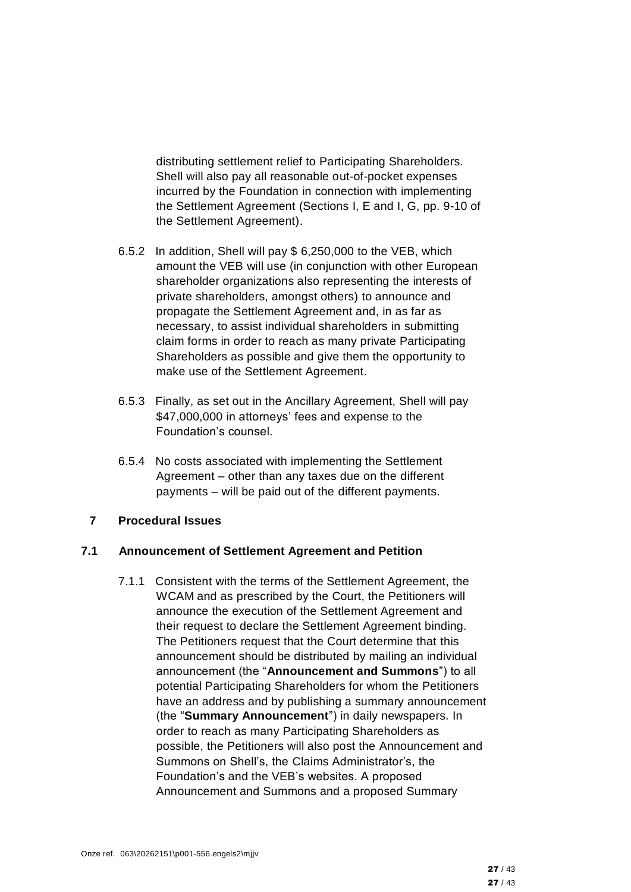distributing settlement relief to Participating Shareholders. Shell will also pay all reasonable out-of-pocket expenses incurred by the Foundation in connection with implementing the Settlement Agreement (Sections I, E and I, G, pp. 9-10 of the Settlement Agreement).

- 6.5.2 In addition, Shell will pay \$ 6,250,000 to the VEB, which amount the VEB will use (in conjunction with other European shareholder organizations also representing the interests of private shareholders, amongst others) to announce and propagate the Settlement Agreement and, in as far as necessary, to assist individual shareholders in submitting claim forms in order to reach as many private Participating Shareholders as possible and give them the opportunity to make use of the Settlement Agreement.
- 6.5.3 Finally, as set out in the Ancillary Agreement, Shell will pay \$47,000,000 in attorneys' fees and expense to the Foundation's counsel.
- 6.5.4 No costs associated with implementing the Settlement Agreement – other than any taxes due on the different payments – will be paid out of the different payments.

#### **7 Procedural Issues**

#### **7.1 Announcement of Settlement Agreement and Petition**

7.1.1 Consistent with the terms of the Settlement Agreement, the WCAM and as prescribed by the Court, the Petitioners will announce the execution of the Settlement Agreement and their request to declare the Settlement Agreement binding. The Petitioners request that the Court determine that this announcement should be distributed by mailing an individual announcement (the "**Announcement and Summons**") to all potential Participating Shareholders for whom the Petitioners have an address and by publishing a summary announcement (the "**Summary Announcement**") in daily newspapers. In order to reach as many Participating Shareholders as possible, the Petitioners will also post the Announcement and Summons on Shell's, the Claims Administrator's, the Foundation's and the VEB's websites. A proposed Announcement and Summons and a proposed Summary

27 / 43 27 / 43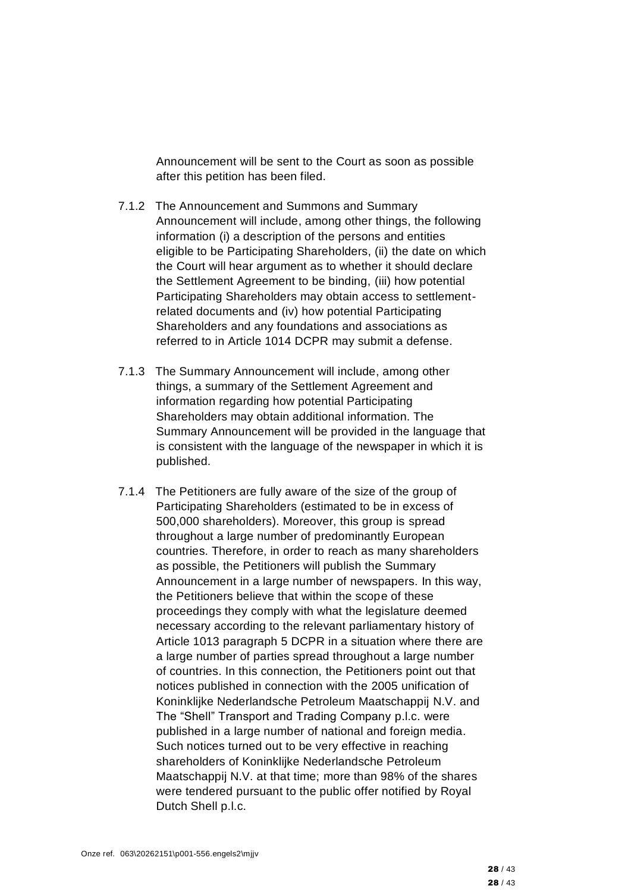Announcement will be sent to the Court as soon as possible after this petition has been filed.

- 7.1.2 The Announcement and Summons and Summary Announcement will include, among other things, the following information (i) a description of the persons and entities eligible to be Participating Shareholders, (ii) the date on which the Court will hear argument as to whether it should declare the Settlement Agreement to be binding, (iii) how potential Participating Shareholders may obtain access to settlementrelated documents and (iv) how potential Participating Shareholders and any foundations and associations as referred to in Article 1014 DCPR may submit a defense.
- 7.1.3 The Summary Announcement will include, among other things, a summary of the Settlement Agreement and information regarding how potential Participating Shareholders may obtain additional information. The Summary Announcement will be provided in the language that is consistent with the language of the newspaper in which it is published.
- 7.1.4 The Petitioners are fully aware of the size of the group of Participating Shareholders (estimated to be in excess of 500,000 shareholders). Moreover, this group is spread throughout a large number of predominantly European countries. Therefore, in order to reach as many shareholders as possible, the Petitioners will publish the Summary Announcement in a large number of newspapers. In this way, the Petitioners believe that within the scope of these proceedings they comply with what the legislature deemed necessary according to the relevant parliamentary history of Article 1013 paragraph 5 DCPR in a situation where there are a large number of parties spread throughout a large number of countries. In this connection, the Petitioners point out that notices published in connection with the 2005 unification of Koninklijke Nederlandsche Petroleum Maatschappij N.V. and The "Shell" Transport and Trading Company p.l.c. were published in a large number of national and foreign media. Such notices turned out to be very effective in reaching shareholders of Koninklijke Nederlandsche Petroleum Maatschappij N.V. at that time; more than 98% of the shares were tendered pursuant to the public offer notified by Royal Dutch Shell p.l.c.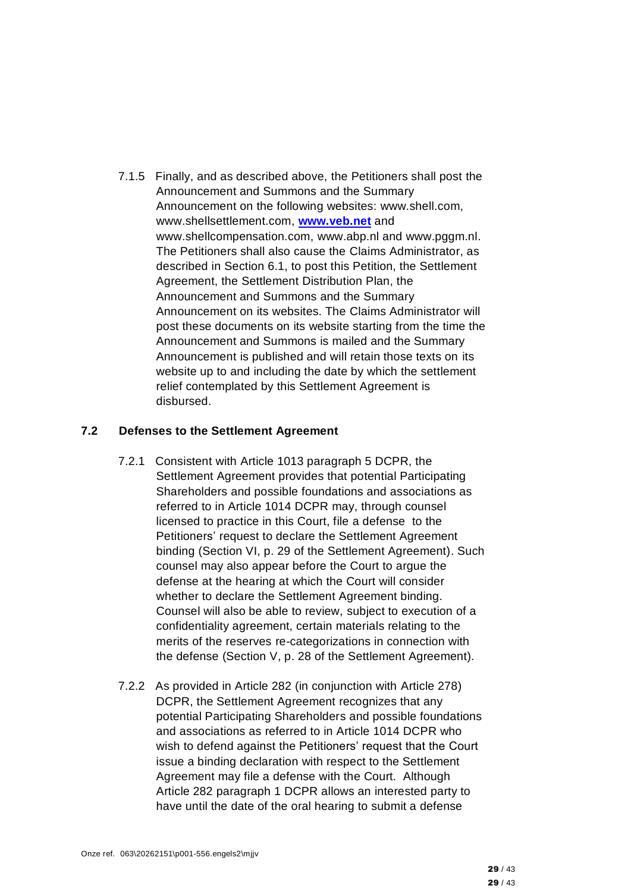7.1.5 Finally, and as described above, the Petitioners shall post the Announcement and Summons and the Summary Announcement on the following websites: www.shell.com, www.shellsettlement.com, **[www.veb.net](http://www.veb.net/)** and www.shellcompensation.com, www.abp.nl and www.pggm.nl. The Petitioners shall also cause the Claims Administrator, as described in Section 6.1, to post this Petition, the Settlement Agreement, the Settlement Distribution Plan, the Announcement and Summons and the Summary Announcement on its websites. The Claims Administrator will post these documents on its website starting from the time the Announcement and Summons is mailed and the Summary Announcement is published and will retain those texts on its website up to and including the date by which the settlement relief contemplated by this Settlement Agreement is disbursed.

#### **7.2 Defenses to the Settlement Agreement**

- 7.2.1 Consistent with Article 1013 paragraph 5 DCPR, the Settlement Agreement provides that potential Participating Shareholders and possible foundations and associations as referred to in Article 1014 DCPR may, through counsel licensed to practice in this Court, file a defense to the Petitioners' request to declare the Settlement Agreement binding (Section VI, p. 29 of the Settlement Agreement). Such counsel may also appear before the Court to argue the defense at the hearing at which the Court will consider whether to declare the Settlement Agreement binding. Counsel will also be able to review, subject to execution of a confidentiality agreement, certain materials relating to the merits of the reserves re-categorizations in connection with the defense (Section V, p. 28 of the Settlement Agreement).
- 7.2.2 As provided in Article 282 (in conjunction with Article 278) DCPR, the Settlement Agreement recognizes that any potential Participating Shareholders and possible foundations and associations as referred to in Article 1014 DCPR who wish to defend against the Petitioners' request that the Court issue a binding declaration with respect to the Settlement Agreement may file a defense with the Court. Although Article 282 paragraph 1 DCPR allows an interested party to have until the date of the oral hearing to submit a defense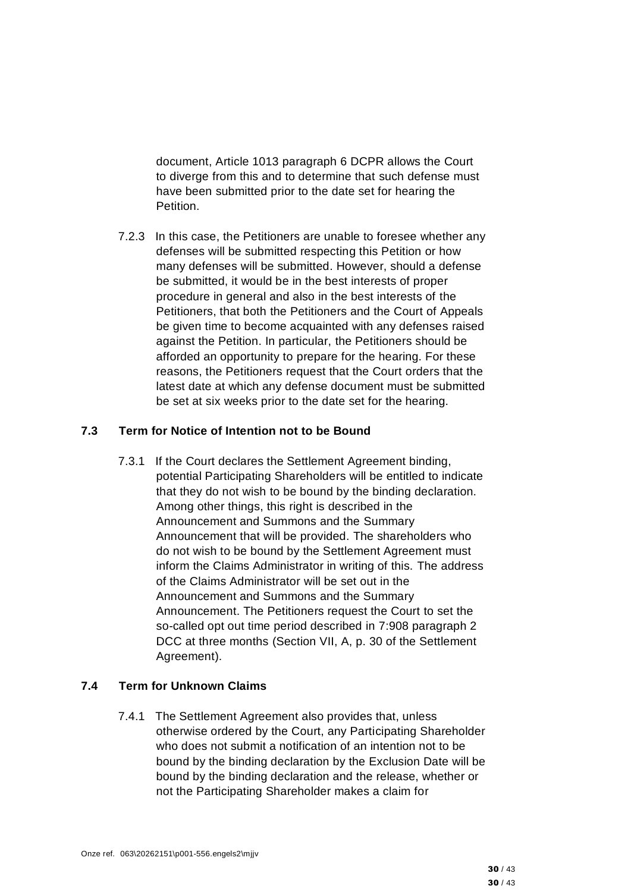document, Article 1013 paragraph 6 DCPR allows the Court to diverge from this and to determine that such defense must have been submitted prior to the date set for hearing the Petition.

7.2.3 In this case, the Petitioners are unable to foresee whether any defenses will be submitted respecting this Petition or how many defenses will be submitted. However, should a defense be submitted, it would be in the best interests of proper procedure in general and also in the best interests of the Petitioners, that both the Petitioners and the Court of Appeals be given time to become acquainted with any defenses raised against the Petition. In particular, the Petitioners should be afforded an opportunity to prepare for the hearing. For these reasons, the Petitioners request that the Court orders that the latest date at which any defense document must be submitted be set at six weeks prior to the date set for the hearing.

# **7.3 Term for Notice of Intention not to be Bound**

7.3.1 If the Court declares the Settlement Agreement binding, potential Participating Shareholders will be entitled to indicate that they do not wish to be bound by the binding declaration. Among other things, this right is described in the Announcement and Summons and the Summary Announcement that will be provided. The shareholders who do not wish to be bound by the Settlement Agreement must inform the Claims Administrator in writing of this. The address of the Claims Administrator will be set out in the Announcement and Summons and the Summary Announcement. The Petitioners request the Court to set the so-called opt out time period described in 7:908 paragraph 2 DCC at three months (Section VII, A, p. 30 of the Settlement Agreement).

### **7.4 Term for Unknown Claims**

7.4.1 The Settlement Agreement also provides that, unless otherwise ordered by the Court, any Participating Shareholder who does not submit a notification of an intention not to be bound by the binding declaration by the Exclusion Date will be bound by the binding declaration and the release, whether or not the Participating Shareholder makes a claim for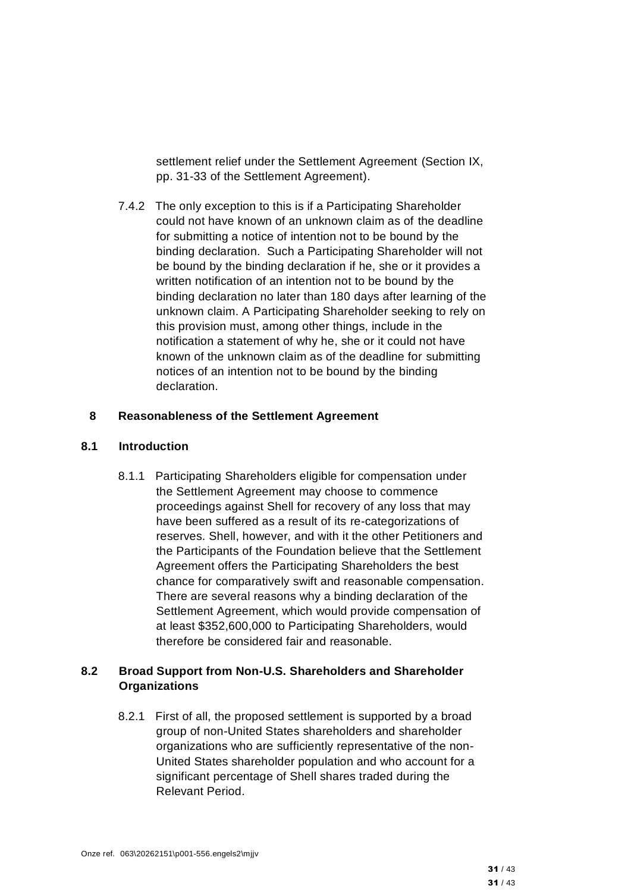settlement relief under the Settlement Agreement (Section IX, pp. 31-33 of the Settlement Agreement).

7.4.2 The only exception to this is if a Participating Shareholder could not have known of an unknown claim as of the deadline for submitting a notice of intention not to be bound by the binding declaration. Such a Participating Shareholder will not be bound by the binding declaration if he, she or it provides a written notification of an intention not to be bound by the binding declaration no later than 180 days after learning of the unknown claim. A Participating Shareholder seeking to rely on this provision must, among other things, include in the notification a statement of why he, she or it could not have known of the unknown claim as of the deadline for submitting notices of an intention not to be bound by the binding declaration.

#### **8 Reasonableness of the Settlement Agreement**

#### **8.1 Introduction**

8.1.1 Participating Shareholders eligible for compensation under the Settlement Agreement may choose to commence proceedings against Shell for recovery of any loss that may have been suffered as a result of its re-categorizations of reserves. Shell, however, and with it the other Petitioners and the Participants of the Foundation believe that the Settlement Agreement offers the Participating Shareholders the best chance for comparatively swift and reasonable compensation. There are several reasons why a binding declaration of the Settlement Agreement, which would provide compensation of at least \$352,600,000 to Participating Shareholders, would therefore be considered fair and reasonable.

# **8.2 Broad Support from Non-U.S. Shareholders and Shareholder Organizations**

8.2.1 First of all, the proposed settlement is supported by a broad group of non-United States shareholders and shareholder organizations who are sufficiently representative of the non-United States shareholder population and who account for a significant percentage of Shell shares traded during the Relevant Period.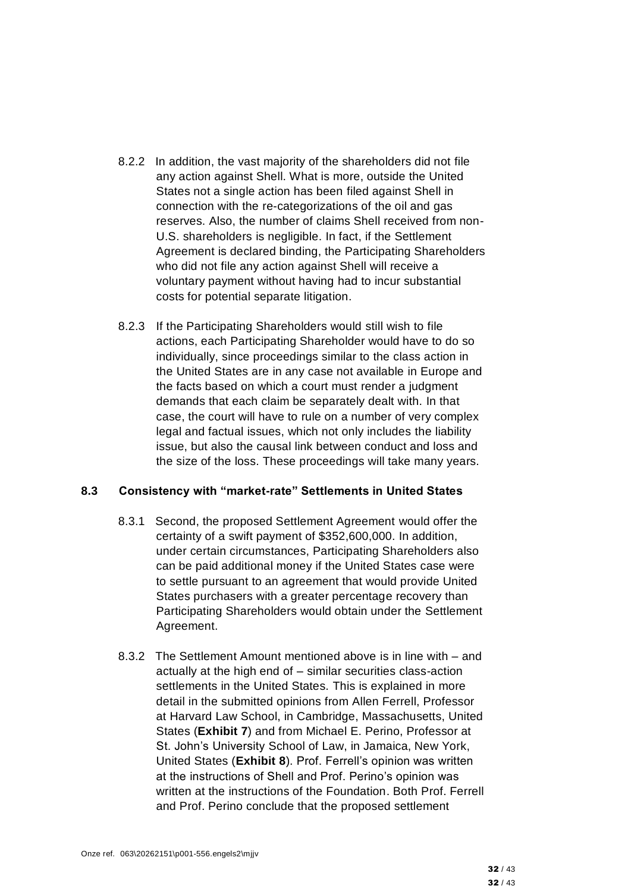- 8.2.2 In addition, the vast majority of the shareholders did not file any action against Shell. What is more, outside the United States not a single action has been filed against Shell in connection with the re-categorizations of the oil and gas reserves. Also, the number of claims Shell received from non-U.S. shareholders is negligible. In fact, if the Settlement Agreement is declared binding, the Participating Shareholders who did not file any action against Shell will receive a voluntary payment without having had to incur substantial costs for potential separate litigation.
- 8.2.3 If the Participating Shareholders would still wish to file actions, each Participating Shareholder would have to do so individually, since proceedings similar to the class action in the United States are in any case not available in Europe and the facts based on which a court must render a judgment demands that each claim be separately dealt with. In that case, the court will have to rule on a number of very complex legal and factual issues, which not only includes the liability issue, but also the causal link between conduct and loss and the size of the loss. These proceedings will take many years.

#### **8.3 Consistency with "market-rate" Settlements in United States**

- 8.3.1 Second, the proposed Settlement Agreement would offer the certainty of a swift payment of \$352,600,000. In addition, under certain circumstances, Participating Shareholders also can be paid additional money if the United States case were to settle pursuant to an agreement that would provide United States purchasers with a greater percentage recovery than Participating Shareholders would obtain under the Settlement Agreement.
- 8.3.2 The Settlement Amount mentioned above is in line with and actually at the high end of – similar securities class-action settlements in the United States. This is explained in more detail in the submitted opinions from Allen Ferrell, Professor at Harvard Law School, in Cambridge, Massachusetts, United States (**Exhibit 7**) and from Michael E. Perino, Professor at St. John's University School of Law, in Jamaica, New York, United States (**Exhibit 8**). Prof. Ferrell's opinion was written at the instructions of Shell and Prof. Perino's opinion was written at the instructions of the Foundation. Both Prof. Ferrell and Prof. Perino conclude that the proposed settlement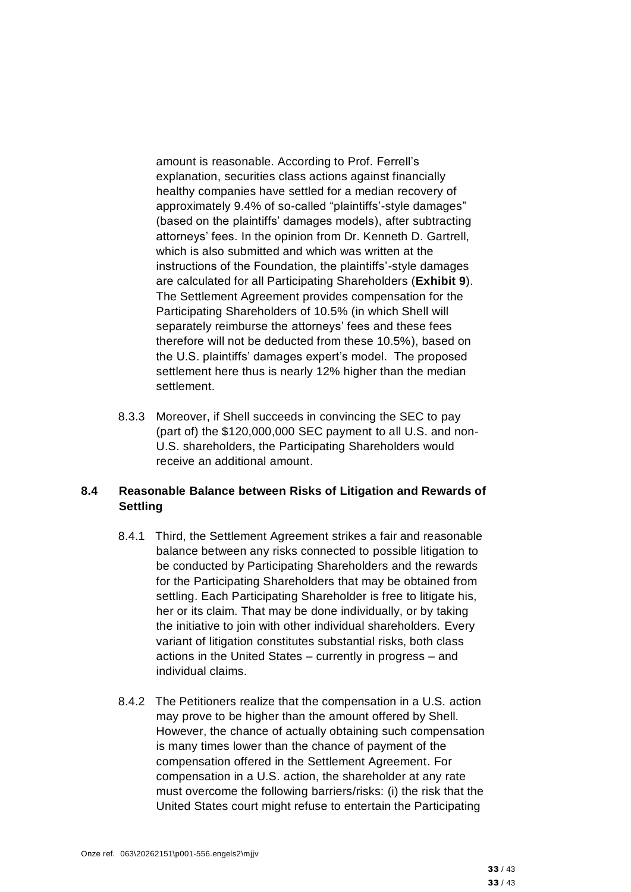amount is reasonable. According to Prof. Ferrell's explanation, securities class actions against financially healthy companies have settled for a median recovery of approximately 9.4% of so-called "plaintiffs'-style damages" (based on the plaintiffs' damages models), after subtracting attorneys' fees. In the opinion from Dr. Kenneth D. Gartrell, which is also submitted and which was written at the instructions of the Foundation, the plaintiffs'-style damages are calculated for all Participating Shareholders (**Exhibit 9**). The Settlement Agreement provides compensation for the Participating Shareholders of 10.5% (in which Shell will separately reimburse the attorneys' fees and these fees therefore will not be deducted from these 10.5%), based on the U.S. plaintiffs' damages expert's model. The proposed settlement here thus is nearly 12% higher than the median settlement.

8.3.3 Moreover, if Shell succeeds in convincing the SEC to pay (part of) the \$120,000,000 SEC payment to all U.S. and non-U.S. shareholders, the Participating Shareholders would receive an additional amount.

#### **8.4 Reasonable Balance between Risks of Litigation and Rewards of Settling**

- 8.4.1 Third, the Settlement Agreement strikes a fair and reasonable balance between any risks connected to possible litigation to be conducted by Participating Shareholders and the rewards for the Participating Shareholders that may be obtained from settling. Each Participating Shareholder is free to litigate his, her or its claim. That may be done individually, or by taking the initiative to join with other individual shareholders. Every variant of litigation constitutes substantial risks, both class actions in the United States – currently in progress – and individual claims.
- 8.4.2 The Petitioners realize that the compensation in a U.S. action may prove to be higher than the amount offered by Shell. However, the chance of actually obtaining such compensation is many times lower than the chance of payment of the compensation offered in the Settlement Agreement. For compensation in a U.S. action, the shareholder at any rate must overcome the following barriers/risks: (i) the risk that the United States court might refuse to entertain the Participating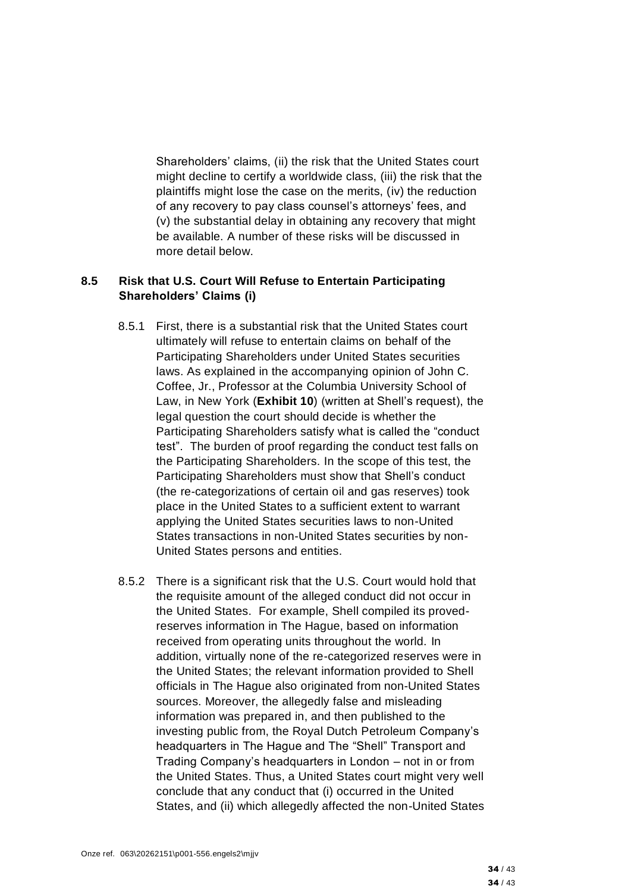Shareholders' claims, (ii) the risk that the United States court might decline to certify a worldwide class, (iii) the risk that the plaintiffs might lose the case on the merits, (iv) the reduction of any recovery to pay class counsel's attorneys' fees, and (v) the substantial delay in obtaining any recovery that might be available. A number of these risks will be discussed in more detail below.

#### **8.5 Risk that U.S. Court Will Refuse to Entertain Participating Shareholders' Claims (i)**

- 8.5.1 First, there is a substantial risk that the United States court ultimately will refuse to entertain claims on behalf of the Participating Shareholders under United States securities laws. As explained in the accompanying opinion of John C. Coffee, Jr., Professor at the Columbia University School of Law, in New York (**Exhibit 10**) (written at Shell's request), the legal question the court should decide is whether the Participating Shareholders satisfy what is called the "conduct test". The burden of proof regarding the conduct test falls on the Participating Shareholders. In the scope of this test, the Participating Shareholders must show that Shell's conduct (the re-categorizations of certain oil and gas reserves) took place in the United States to a sufficient extent to warrant applying the United States securities laws to non-United States transactions in non-United States securities by non-United States persons and entities.
- 8.5.2 There is a significant risk that the U.S. Court would hold that the requisite amount of the alleged conduct did not occur in the United States. For example, Shell compiled its provedreserves information in The Hague, based on information received from operating units throughout the world. In addition, virtually none of the re-categorized reserves were in the United States; the relevant information provided to Shell officials in The Hague also originated from non-United States sources. Moreover, the allegedly false and misleading information was prepared in, and then published to the investing public from, the Royal Dutch Petroleum Company's headquarters in The Hague and The "Shell" Transport and Trading Company's headquarters in London – not in or from the United States. Thus, a United States court might very well conclude that any conduct that (i) occurred in the United States, and (ii) which allegedly affected the non-United States

34 / 43 34 / 43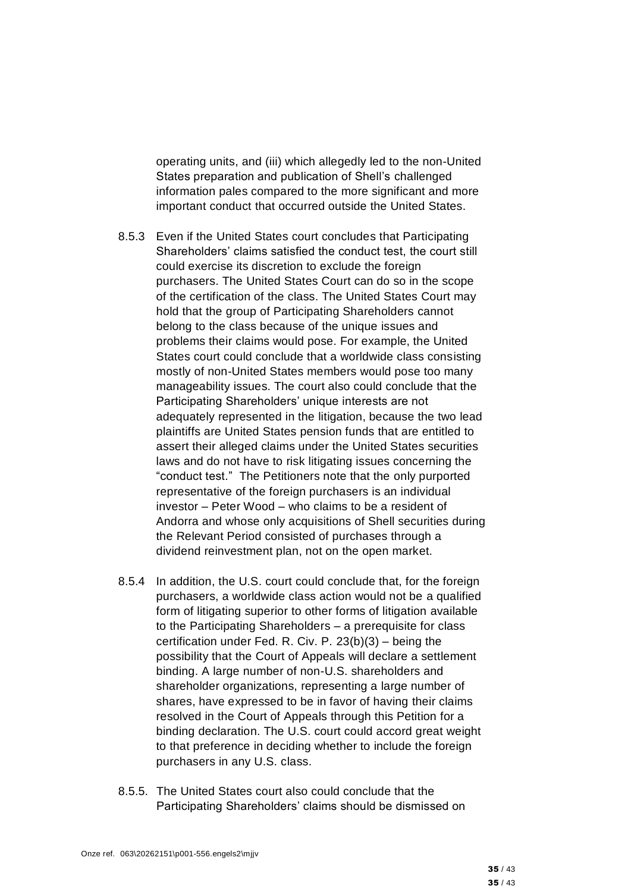operating units, and (iii) which allegedly led to the non-United States preparation and publication of Shell's challenged information pales compared to the more significant and more important conduct that occurred outside the United States.

- 8.5.3 Even if the United States court concludes that Participating Shareholders' claims satisfied the conduct test, the court still could exercise its discretion to exclude the foreign purchasers. The United States Court can do so in the scope of the certification of the class. The United States Court may hold that the group of Participating Shareholders cannot belong to the class because of the unique issues and problems their claims would pose. For example, the United States court could conclude that a worldwide class consisting mostly of non-United States members would pose too many manageability issues. The court also could conclude that the Participating Shareholders' unique interests are not adequately represented in the litigation, because the two lead plaintiffs are United States pension funds that are entitled to assert their alleged claims under the United States securities laws and do not have to risk litigating issues concerning the "conduct test." The Petitioners note that the only purported representative of the foreign purchasers is an individual investor – Peter Wood – who claims to be a resident of Andorra and whose only acquisitions of Shell securities during the Relevant Period consisted of purchases through a dividend reinvestment plan, not on the open market.
- 8.5.4 In addition, the U.S. court could conclude that, for the foreign purchasers, a worldwide class action would not be a qualified form of litigating superior to other forms of litigation available to the Participating Shareholders – a prerequisite for class certification under Fed. R. Civ. P. 23(b)(3) – being the possibility that the Court of Appeals will declare a settlement binding. A large number of non-U.S. shareholders and shareholder organizations, representing a large number of shares, have expressed to be in favor of having their claims resolved in the Court of Appeals through this Petition for a binding declaration. The U.S. court could accord great weight to that preference in deciding whether to include the foreign purchasers in any U.S. class.
- 8.5.5. The United States court also could conclude that the Participating Shareholders' claims should be dismissed on

35 / 43 35 / 43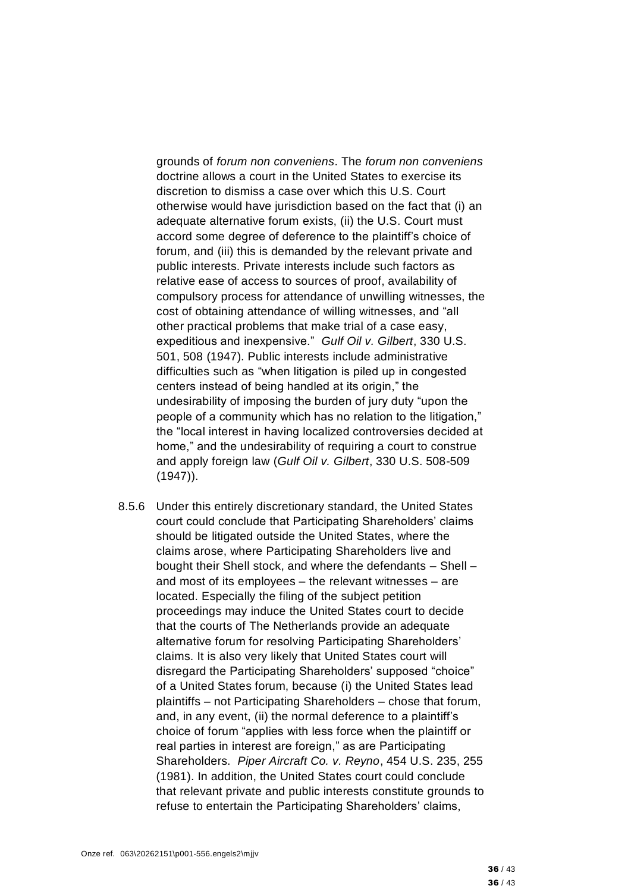grounds of *forum non conveniens*. The *forum non conveniens* doctrine allows a court in the United States to exercise its discretion to dismiss a case over which this U.S. Court otherwise would have jurisdiction based on the fact that (i) an adequate alternative forum exists, (ii) the U.S. Court must accord some degree of deference to the plaintiff's choice of forum, and (iii) this is demanded by the relevant private and public interests. Private interests include such factors as relative ease of access to sources of proof, availability of compulsory process for attendance of unwilling witnesses, the cost of obtaining attendance of willing witnesses, and "all other practical problems that make trial of a case easy, expeditious and inexpensive." *Gulf Oil v. Gilbert*, 330 U.S. 501, 508 (1947). Public interests include administrative difficulties such as "when litigation is piled up in congested centers instead of being handled at its origin," the undesirability of imposing the burden of jury duty "upon the people of a community which has no relation to the litigation," the "local interest in having localized controversies decided at home," and the undesirability of requiring a court to construe and apply foreign law (*Gulf Oil v. Gilbert*, 330 U.S. 508-509 (1947)).

8.5.6 Under this entirely discretionary standard, the United States court could conclude that Participating Shareholders' claims should be litigated outside the United States, where the claims arose, where Participating Shareholders live and bought their Shell stock, and where the defendants – Shell – and most of its employees – the relevant witnesses – are located. Especially the filing of the subject petition proceedings may induce the United States court to decide that the courts of The Netherlands provide an adequate alternative forum for resolving Participating Shareholders' claims. It is also very likely that United States court will disregard the Participating Shareholders' supposed "choice" of a United States forum, because (i) the United States lead plaintiffs – not Participating Shareholders – chose that forum, and, in any event, (ii) the normal deference to a plaintiff's choice of forum "applies with less force when the plaintiff or real parties in interest are foreign," as are Participating Shareholders. *Piper Aircraft Co. v. Reyno*, 454 U.S. 235, 255 (1981). In addition, the United States court could conclude that relevant private and public interests constitute grounds to refuse to entertain the Participating Shareholders' claims,

36 / 43 36 / 43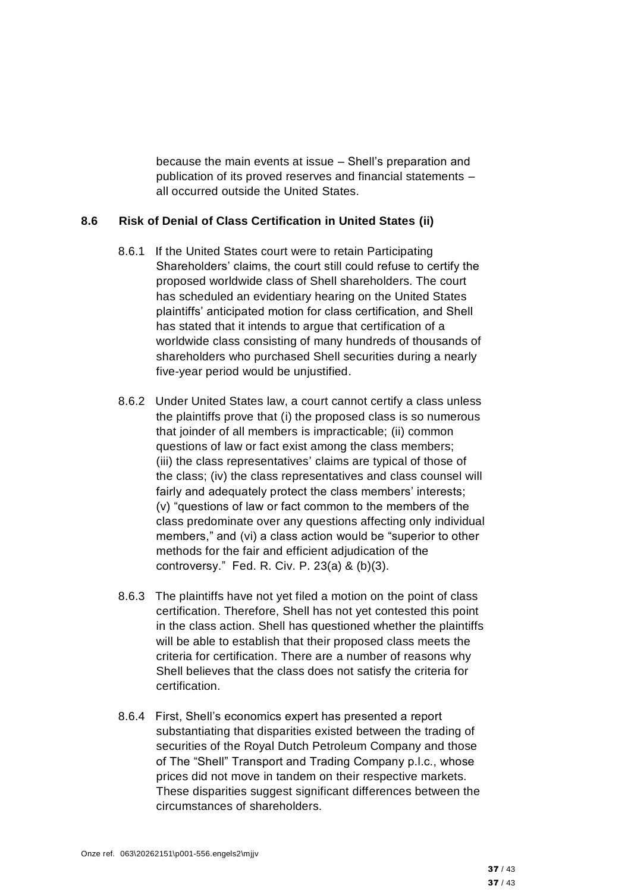because the main events at issue – Shell's preparation and publication of its proved reserves and financial statements – all occurred outside the United States.

#### **8.6 Risk of Denial of Class Certification in United States (ii)**

- 8.6.1 If the United States court were to retain Participating Shareholders' claims, the court still could refuse to certify the proposed worldwide class of Shell shareholders. The court has scheduled an evidentiary hearing on the United States plaintiffs' anticipated motion for class certification, and Shell has stated that it intends to argue that certification of a worldwide class consisting of many hundreds of thousands of shareholders who purchased Shell securities during a nearly five-year period would be unjustified.
- 8.6.2 Under United States law, a court cannot certify a class unless the plaintiffs prove that (i) the proposed class is so numerous that joinder of all members is impracticable; (ii) common questions of law or fact exist among the class members; (iii) the class representatives' claims are typical of those of the class; (iv) the class representatives and class counsel will fairly and adequately protect the class members' interests; (v) "questions of law or fact common to the members of the class predominate over any questions affecting only individual members," and (vi) a class action would be "superior to other methods for the fair and efficient adjudication of the controversy." Fed. R. Civ. P. 23(a) & (b)(3).
- 8.6.3 The plaintiffs have not yet filed a motion on the point of class certification. Therefore, Shell has not yet contested this point in the class action. Shell has questioned whether the plaintiffs will be able to establish that their proposed class meets the criteria for certification. There are a number of reasons why Shell believes that the class does not satisfy the criteria for certification.
- 8.6.4 First, Shell's economics expert has presented a report substantiating that disparities existed between the trading of securities of the Royal Dutch Petroleum Company and those of The "Shell" Transport and Trading Company p.l.c., whose prices did not move in tandem on their respective markets. These disparities suggest significant differences between the circumstances of shareholders.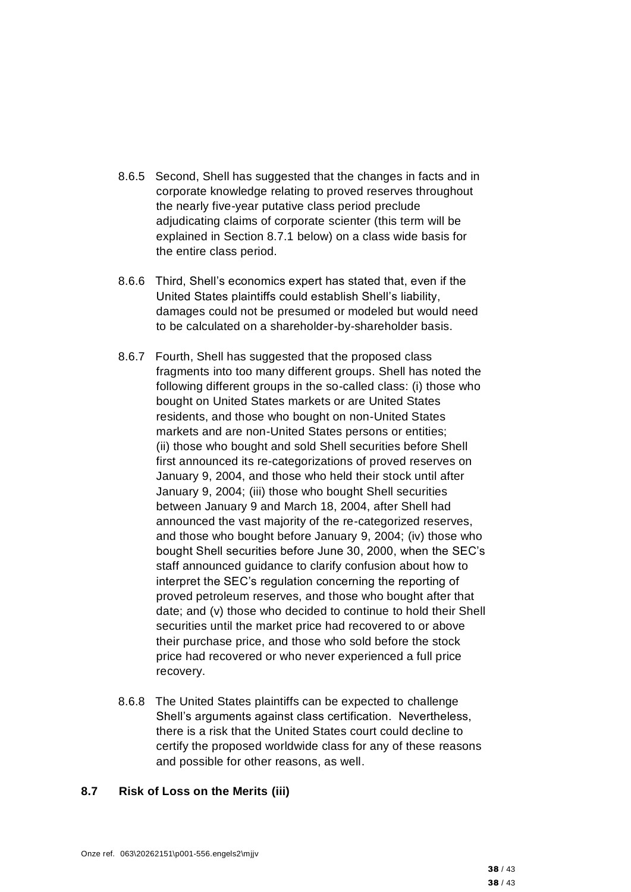- 8.6.5 Second, Shell has suggested that the changes in facts and in corporate knowledge relating to proved reserves throughout the nearly five-year putative class period preclude adjudicating claims of corporate scienter (this term will be explained in Section 8.7.1 below) on a class wide basis for the entire class period.
- 8.6.6 Third, Shell's economics expert has stated that, even if the United States plaintiffs could establish Shell's liability, damages could not be presumed or modeled but would need to be calculated on a shareholder-by-shareholder basis.
- 8.6.7 Fourth, Shell has suggested that the proposed class fragments into too many different groups. Shell has noted the following different groups in the so-called class: (i) those who bought on United States markets or are United States residents, and those who bought on non-United States markets and are non-United States persons or entities; (ii) those who bought and sold Shell securities before Shell first announced its re-categorizations of proved reserves on January 9, 2004, and those who held their stock until after January 9, 2004; (iii) those who bought Shell securities between January 9 and March 18, 2004, after Shell had announced the vast majority of the re-categorized reserves, and those who bought before January 9, 2004; (iv) those who bought Shell securities before June 30, 2000, when the SEC's staff announced guidance to clarify confusion about how to interpret the SEC's regulation concerning the reporting of proved petroleum reserves, and those who bought after that date; and (v) those who decided to continue to hold their Shell securities until the market price had recovered to or above their purchase price, and those who sold before the stock price had recovered or who never experienced a full price recovery.
- 8.6.8 The United States plaintiffs can be expected to challenge Shell's arguments against class certification. Nevertheless, there is a risk that the United States court could decline to certify the proposed worldwide class for any of these reasons and possible for other reasons, as well.

#### **8.7 Risk of Loss on the Merits (iii)**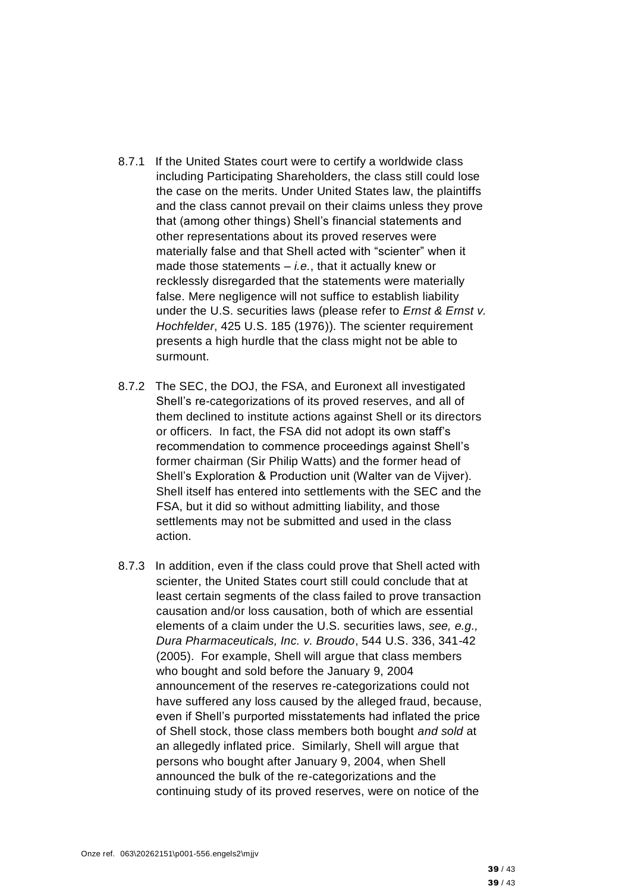- 8.7.1 If the United States court were to certify a worldwide class including Participating Shareholders, the class still could lose the case on the merits. Under United States law, the plaintiffs and the class cannot prevail on their claims unless they prove that (among other things) Shell's financial statements and other representations about its proved reserves were materially false and that Shell acted with "scienter" when it made those statements – *i.e.*, that it actually knew or recklessly disregarded that the statements were materially false. Mere negligence will not suffice to establish liability under the U.S. securities laws (please refer to *Ernst & Ernst v. Hochfelder*, 425 U.S. 185 (1976)). The scienter requirement presents a high hurdle that the class might not be able to surmount.
- 8.7.2 The SEC, the DOJ, the FSA, and Euronext all investigated Shell's re-categorizations of its proved reserves, and all of them declined to institute actions against Shell or its directors or officers. In fact, the FSA did not adopt its own staff's recommendation to commence proceedings against Shell's former chairman (Sir Philip Watts) and the former head of Shell's Exploration & Production unit (Walter van de Vijver). Shell itself has entered into settlements with the SEC and the FSA, but it did so without admitting liability, and those settlements may not be submitted and used in the class action.
- 8.7.3 In addition, even if the class could prove that Shell acted with scienter, the United States court still could conclude that at least certain segments of the class failed to prove transaction causation and/or loss causation, both of which are essential elements of a claim under the U.S. securities laws, *see, e.g., Dura Pharmaceuticals, Inc. v. Broudo*, 544 U.S. 336, 341-42 (2005). For example, Shell will argue that class members who bought and sold before the January 9, 2004 announcement of the reserves re-categorizations could not have suffered any loss caused by the alleged fraud, because, even if Shell's purported misstatements had inflated the price of Shell stock, those class members both bought *and sold* at an allegedly inflated price. Similarly, Shell will argue that persons who bought after January 9, 2004, when Shell announced the bulk of the re-categorizations and the continuing study of its proved reserves, were on notice of the

39 / 43 39 / 43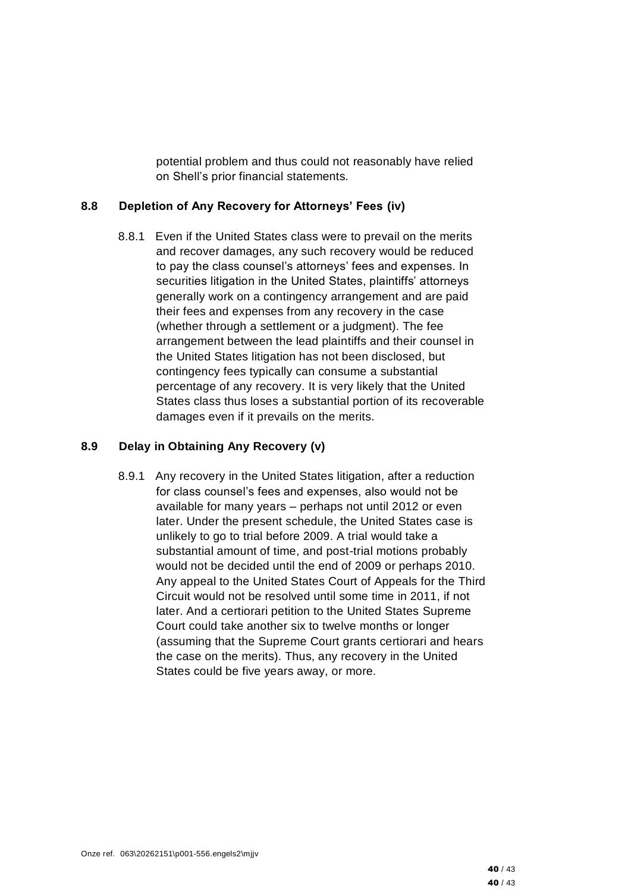potential problem and thus could not reasonably have relied on Shell's prior financial statements.

#### **8.8 Depletion of Any Recovery for Attorneys' Fees (iv)**

8.8.1 Even if the United States class were to prevail on the merits and recover damages, any such recovery would be reduced to pay the class counsel's attorneys' fees and expenses. In securities litigation in the United States, plaintiffs' attorneys generally work on a contingency arrangement and are paid their fees and expenses from any recovery in the case (whether through a settlement or a judgment). The fee arrangement between the lead plaintiffs and their counsel in the United States litigation has not been disclosed, but contingency fees typically can consume a substantial percentage of any recovery. It is very likely that the United States class thus loses a substantial portion of its recoverable damages even if it prevails on the merits.

#### **8.9 Delay in Obtaining Any Recovery (v)**

8.9.1 Any recovery in the United States litigation, after a reduction for class counsel's fees and expenses, also would not be available for many years – perhaps not until 2012 or even later. Under the present schedule, the United States case is unlikely to go to trial before 2009. A trial would take a substantial amount of time, and post-trial motions probably would not be decided until the end of 2009 or perhaps 2010. Any appeal to the United States Court of Appeals for the Third Circuit would not be resolved until some time in 2011, if not later. And a certiorari petition to the United States Supreme Court could take another six to twelve months or longer (assuming that the Supreme Court grants certiorari and hears the case on the merits). Thus, any recovery in the United States could be five years away, or more.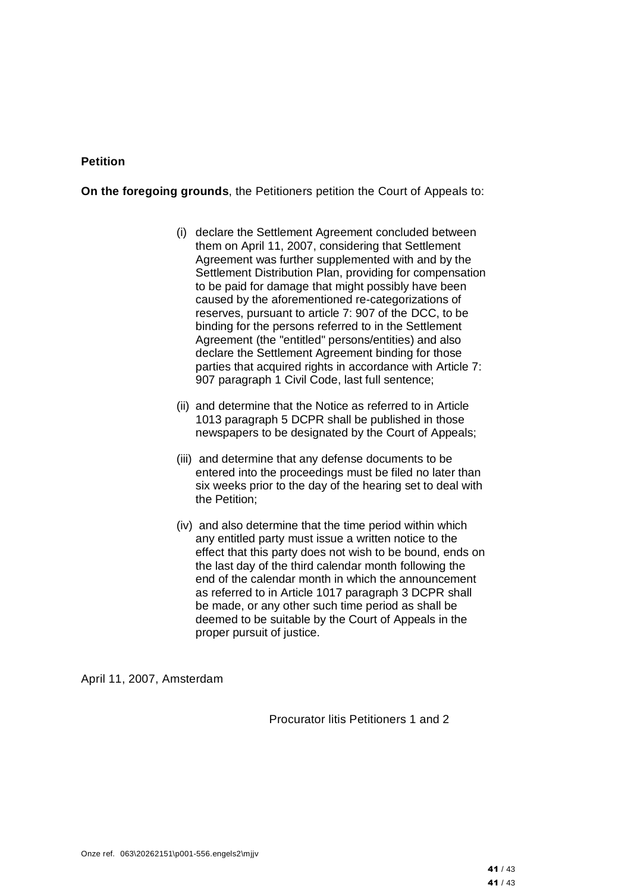#### **Petition**

**On the foregoing grounds**, the Petitioners petition the Court of Appeals to:

- (i) declare the Settlement Agreement concluded between them on April 11, 2007, considering that Settlement Agreement was further supplemented with and by the Settlement Distribution Plan, providing for compensation to be paid for damage that might possibly have been caused by the aforementioned re-categorizations of reserves, pursuant to article 7: 907 of the DCC, to be binding for the persons referred to in the Settlement Agreement (the "entitled" persons/entities) and also declare the Settlement Agreement binding for those parties that acquired rights in accordance with Article 7: 907 paragraph 1 Civil Code, last full sentence;
- (ii) and determine that the Notice as referred to in Article 1013 paragraph 5 DCPR shall be published in those newspapers to be designated by the Court of Appeals;
- (iii) and determine that any defense documents to be entered into the proceedings must be filed no later than six weeks prior to the day of the hearing set to deal with the Petition;
- (iv) and also determine that the time period within which any entitled party must issue a written notice to the effect that this party does not wish to be bound, ends on the last day of the third calendar month following the end of the calendar month in which the announcement as referred to in Article 1017 paragraph 3 DCPR shall be made, or any other such time period as shall be deemed to be suitable by the Court of Appeals in the proper pursuit of justice.

April 11, 2007, Amsterdam

Procurator litis Petitioners 1 and 2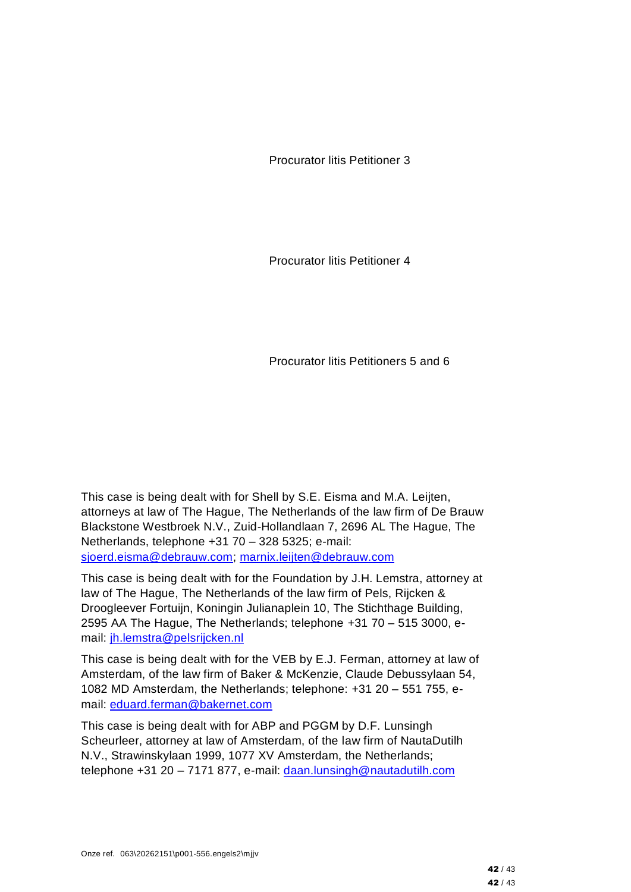Procurator litis Petitioner 3

Procurator litis Petitioner 4

Procurator litis Petitioners 5 and 6

This case is being dealt with for Shell by S.E. Eisma and M.A. Leijten, attorneys at law of The Hague, The Netherlands of the law firm of De Brauw Blackstone Westbroek N.V., Zuid-Hollandlaan 7, 2696 AL The Hague, The Netherlands, telephone +31 70 – 328 5325; e-mail: [sjoerd.eisma@debrauw.com;](mailto:sjoerd.eisma@debrauw.com) [marnix.leijten@debrauw.com](mailto:marnix.leijten@debrauw.com)

This case is being dealt with for the Foundation by J.H. Lemstra, attorney at law of The Hague, The Netherlands of the law firm of Pels, Rijcken & Droogleever Fortuijn, Koningin Julianaplein 10, The Stichthage Building, 2595 AA The Hague, The Netherlands; telephone +31 70 – 515 3000, email: [jh.lemstra@pelsrijcken.nl](mailto:jh.lemstra@pelsrijcken.nl)

This case is being dealt with for the VEB by E.J. Ferman, attorney at law of Amsterdam, of the law firm of Baker & McKenzie, Claude Debussylaan 54, 1082 MD Amsterdam, the Netherlands; telephone: +31 20 – 551 755, email: [eduard.ferman@bakernet.com](mailto:eduard.ferman@bakernet.com)

This case is being dealt with for ABP and PGGM by D.F. Lunsingh Scheurleer, attorney at law of Amsterdam, of the law firm of NautaDutilh N.V., Strawinskylaan 1999, 1077 XV Amsterdam, the Netherlands; telephone +31 20 – 7171 877, e-mail: [daan.lunsingh@nautadutilh.com](mailto:daan.lunsingh@nautadutilh.com)